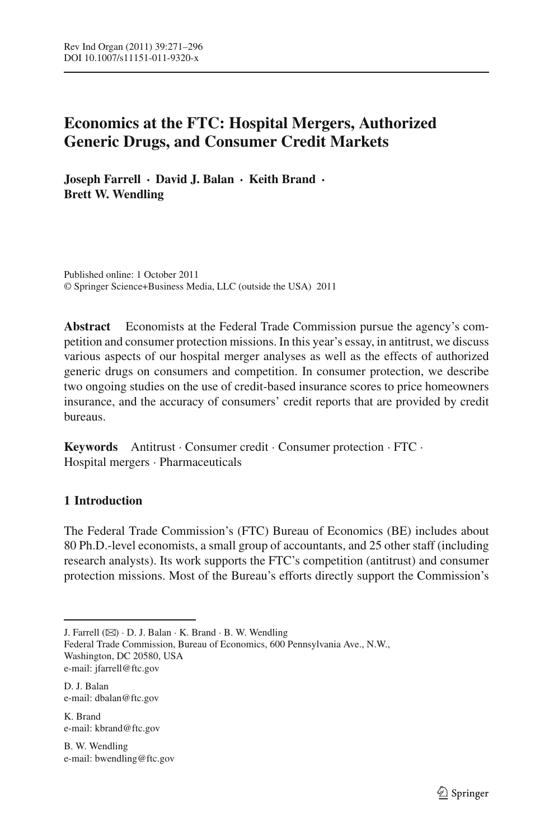# **Economics at the FTC: Hospital Mergers, Authorized Generic Drugs, and Consumer Credit Markets**

**Joseph Farrell · David J. Balan · Keith Brand · Brett W. Wendling**

Published online: 1 October 2011 © Springer Science+Business Media, LLC (outside the USA) 2011

**Abstract** Economists at the Federal Trade Commission pursue the agency's competition and consumer protection missions. In this year's essay, in antitrust, we discuss various aspects of our hospital merger analyses as well as the effects of authorized generic drugs on consumers and competition. In consumer protection, we describe two ongoing studies on the use of credit-based insurance scores to price homeowners insurance, and the accuracy of consumers' credit reports that are provided by credit bureaus.

**Keywords** Antitrust · Consumer credit · Consumer protection · FTC · Hospital mergers · Pharmaceuticals

# **1 Introduction**

The Federal Trade Commission's (FTC) Bureau of Economics (BE) includes about 80 Ph.D.-level economists, a small group of accountants, and 25 other staff (including research analysts). Its work supports the FTC's competition (antitrust) and consumer protection missions. Most of the Bureau's efforts directly support the Commission's

J. Farrell  $(\boxtimes)$   $\cdot$  D. J. Balan  $\cdot$  K. Brand  $\cdot$  B. W. Wendling

D. J. Balan e-mail: dbalan@ftc.gov

K. Brand e-mail: kbrand@ftc.gov

B. W. Wendling e-mail: bwendling@ftc.gov

Federal Trade Commission, Bureau of Economics, 600 Pennsylvania Ave., N.W., Washington, DC 20580, USA e-mail: jfarrell@ftc.gov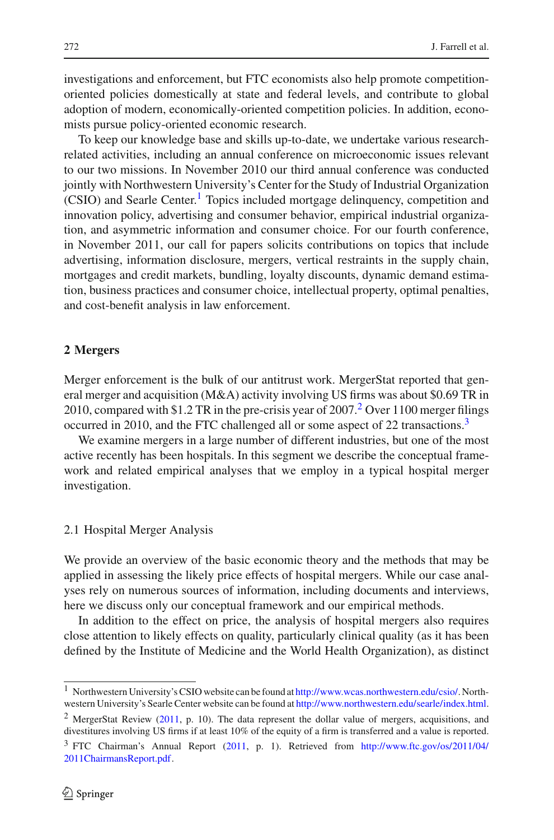investigations and enforcement, but FTC economists also help promote competitionoriented policies domestically at state and federal levels, and contribute to global adoption of modern, economically-oriented competition policies. In addition, economists pursue policy-oriented economic research.

To keep our knowledge base and skills up-to-date, we undertake various researchrelated activities, including an annual conference on microeconomic issues relevant to our two missions. In November 2010 our third annual conference was conducted jointly with Northwestern University's Center for the Study of Industrial Organization (CSIO) and Searle Center.<sup>[1](#page-1-0)</sup> Topics included mortgage delinquency, competition and innovation policy, advertising and consumer behavior, empirical industrial organization, and asymmetric information and consumer choice. For our fourth conference, in November 2011, our call for papers solicits contributions on topics that include advertising, information disclosure, mergers, vertical restraints in the supply chain, mortgages and credit markets, bundling, loyalty discounts, dynamic demand estimation, business practices and consumer choice, intellectual property, optimal penalties, and cost-benefit analysis in law enforcement.

### **2 Mergers**

Merger enforcement is the bulk of our antitrust work. MergerStat reported that general merger and acquisition (M&A) activity involving US firms was about \$0.69 TR in 2010, compared with \$1[.2](#page-1-1) TR in the pre-crisis year of  $2007<sup>2</sup>$  Over 1100 merger filings occurred in 2010, and the FTC challenged all or some aspect of 22 transactions.<sup>3</sup>

We examine mergers in a large number of different industries, but one of the most active recently has been hospitals. In this segment we describe the conceptual framework and related empirical analyses that we employ in a typical hospital merger investigation.

#### 2.1 Hospital Merger Analysis

We provide an overview of the basic economic theory and the methods that may be applied in assessing the likely price effects of hospital mergers. While our case analyses rely on numerous sources of information, including documents and interviews, here we discuss only our conceptual framework and our empirical methods.

In addition to the effect on price, the analysis of hospital mergers also requires close attention to likely effects on quality, particularly clinical quality (as it has been defined by the Institute of Medicine and the World Health Organization), as distinct

<span id="page-1-0"></span><sup>&</sup>lt;sup>1</sup> Northwestern University's CSIO website can be found at [http://www.wcas.northwestern.edu/csio/.](http://www.wcas.northwestern.edu/csio/) Northwestern University's Searle Center website can be found at [http://www.northwestern.edu/searle/index.html.](http://www.northwestern.edu/searle/index.html)

<span id="page-1-1"></span><sup>2</sup> MergerStat Review [\(2011](#page-24-0), p. 10). The data represent the dollar value of mergers, acquisitions, and divestitures involving US firms if at least 10% of the equity of a firm is transferred and a value is reported.

<span id="page-1-2"></span><sup>3</sup> FTC Chairman's Annual Report [\(2011,](#page-24-1) p. 1). Retrieved from [http://www.ftc.gov/os/2011/04/](http://www.ftc.gov/os/2011/04/2011ChairmansReport.pdf) [2011ChairmansReport.pdf.](http://www.ftc.gov/os/2011/04/2011ChairmansReport.pdf)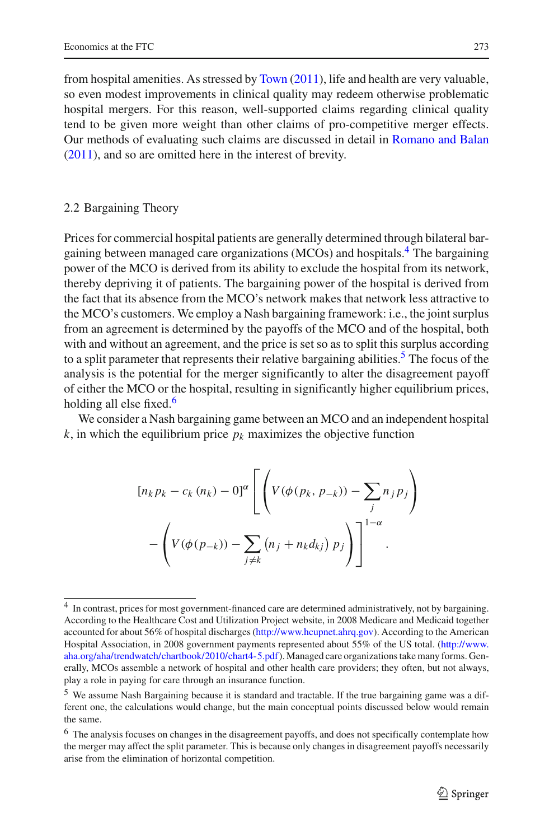from hospital amenities. As stressed by [Town](#page-24-2) [\(2011](#page-24-2)), life and health are very valuable, so even modest improvements in clinical quality may redeem otherwise problematic hospital mergers. For this reason, well-supported claims regarding clinical quality tend to be given more weight than other claims of pro-competitive merger effects. Our methods of evaluating such claims are discussed in detail in [Romano and Balan](#page-24-3) [\(2011\)](#page-24-3), and so are omitted here in the interest of brevity.

### 2.2 Bargaining Theory

Prices for commercial hospital patients are generally determined through bilateral bar-gaining between managed care organizations (MCOs) and hospitals.<sup>[4](#page-2-0)</sup> The bargaining power of the MCO is derived from its ability to exclude the hospital from its network, thereby depriving it of patients. The bargaining power of the hospital is derived from the fact that its absence from the MCO's network makes that network less attractive to the MCO's customers. We employ a Nash bargaining framework: i.e., the joint surplus from an agreement is determined by the payoffs of the MCO and of the hospital, both with and without an agreement, and the price is set so as to split this surplus according to a split parameter that represents their relative bargaining abilities.<sup>5</sup> The focus of the analysis is the potential for the merger significantly to alter the disagreement payoff of either the MCO or the hospital, resulting in significantly higher equilibrium prices, holding all else fixed. $6$ 

We consider a Nash bargaining game between an MCO and an independent hospital  $k$ , in which the equilibrium price  $p_k$  maximizes the objective function

$$
[n_k p_k - c_k (n_k) - 0]^{\alpha} \left[ \left( V(\phi(p_k, p_{-k})) - \sum_j n_j p_j \right) - \left( V(\phi(p_{-k})) - \sum_{j \neq k} (n_j + n_k d_{kj}) p_j \right) \right]^{1-\alpha}.
$$

<span id="page-2-0"></span><sup>4</sup> In contrast, prices for most government-financed care are determined administratively, not by bargaining. According to the Healthcare Cost and Utilization Project website, in 2008 Medicare and Medicaid together accounted for about 56% of hospital discharges [\(http://www.hcupnet.ahrq.gov\)](http://www.hcupnet.ahrq.gov). According to the American Hospital Association, in 2008 government payments represented about 55% of the US total. [\(http://www.](http://www.aha.org/aha/trendwatch/chartbook/2010/chart4-5.pdf) [aha.org/aha/trendwatch/chartbook/2010/chart4-5.pdf\)](http://www.aha.org/aha/trendwatch/chartbook/2010/chart4-5.pdf). Managed care organizations take many forms. Generally, MCOs assemble a network of hospital and other health care providers; they often, but not always, play a role in paying for care through an insurance function.

<span id="page-2-1"></span><sup>5</sup> We assume Nash Bargaining because it is standard and tractable. If the true bargaining game was a different one, the calculations would change, but the main conceptual points discussed below would remain the same.

<span id="page-2-2"></span><sup>&</sup>lt;sup>6</sup> The analysis focuses on changes in the disagreement payoffs, and does not specifically contemplate how the merger may affect the split parameter. This is because only changes in disagreement payoffs necessarily arise from the elimination of horizontal competition.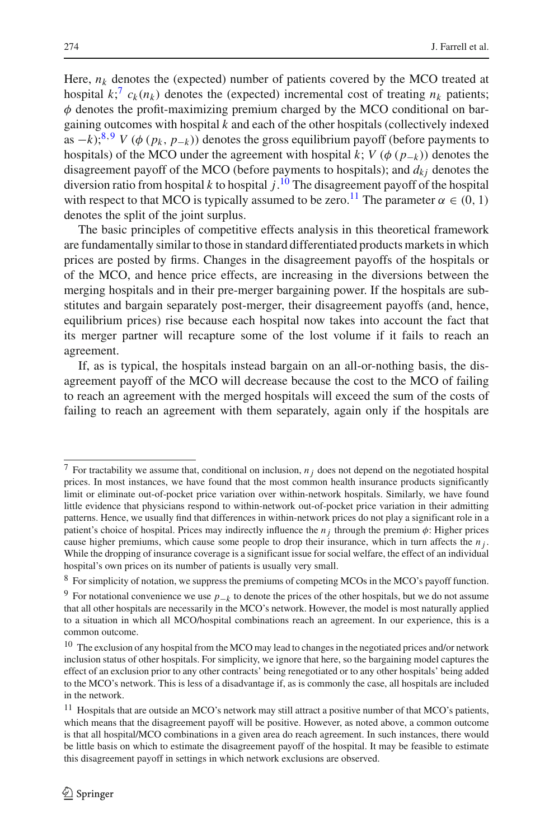Here,  $n_k$  denotes the (expected) number of patients covered by the MCO treated at hospital  $k_i^7 c_k(n_k)$  $k_i^7 c_k(n_k)$  $k_i^7 c_k(n_k)$  denotes the (expected) incremental cost of treating  $n_k$  patients;  $\phi$  denotes the profit-maximizing premium charged by the MCO conditional on bargaining outcomes with hospital *k* and each of the other hospitals (collectively indexed as  $-k$ );<sup>[8](#page-3-1),[9](#page-3-2)</sup> *V* ( $\phi$  ( $p_k$ ,  $p_{-k}$ )) denotes the gross equilibrium payoff (before payments to hospitals) of the MCO under the agreement with hospital *k*; *V* ( $\phi$  ( $p_{-k}$ )) denotes the disagreement payoff of the MCO (before payments to hospitals); and  $d_k$  denotes the diversion ratio from hospital *k* to hospital *j*. [10](#page-3-3) The disagreement payoff of the hospital with respect to that MCO is typically assumed to be zero.<sup>11</sup> The parameter  $\alpha \in (0, 1)$ denotes the split of the joint surplus.

The basic principles of competitive effects analysis in this theoretical framework are fundamentally similar to those in standard differentiated products markets in which prices are posted by firms. Changes in the disagreement payoffs of the hospitals or of the MCO, and hence price effects, are increasing in the diversions between the merging hospitals and in their pre-merger bargaining power. If the hospitals are substitutes and bargain separately post-merger, their disagreement payoffs (and, hence, equilibrium prices) rise because each hospital now takes into account the fact that its merger partner will recapture some of the lost volume if it fails to reach an agreement.

If, as is typical, the hospitals instead bargain on an all-or-nothing basis, the disagreement payoff of the MCO will decrease because the cost to the MCO of failing to reach an agreement with the merged hospitals will exceed the sum of the costs of failing to reach an agreement with them separately, again only if the hospitals are

<span id="page-3-0"></span><sup>7</sup> For tractability we assume that, conditional on inclusion, *n <sup>j</sup>* does not depend on the negotiated hospital prices. In most instances, we have found that the most common health insurance products significantly limit or eliminate out-of-pocket price variation over within-network hospitals. Similarly, we have found little evidence that physicians respond to within-network out-of-pocket price variation in their admitting patterns. Hence, we usually find that differences in within-network prices do not play a significant role in a patient's choice of hospital. Prices may indirectly influence the  $n_i$  through the premium  $\phi$ : Higher prices cause higher premiums, which cause some people to drop their insurance, which in turn affects the *n j* . While the dropping of insurance coverage is a significant issue for social welfare, the effect of an individual hospital's own prices on its number of patients is usually very small.

<sup>8</sup> For simplicity of notation, we suppress the premiums of competing MCOs in the MCO's payoff function.

<span id="page-3-2"></span><span id="page-3-1"></span><sup>&</sup>lt;sup>9</sup> For notational convenience we use  $p_{-k}$  to denote the prices of the other hospitals, but we do not assume that all other hospitals are necessarily in the MCO's network. However, the model is most naturally applied to a situation in which all MCO/hospital combinations reach an agreement. In our experience, this is a common outcome.

<span id="page-3-3"></span><sup>&</sup>lt;sup>10</sup> The exclusion of any hospital from the MCO may lead to changes in the negotiated prices and/or network inclusion status of other hospitals. For simplicity, we ignore that here, so the bargaining model captures the effect of an exclusion prior to any other contracts' being renegotiated or to any other hospitals' being added to the MCO's network. This is less of a disadvantage if, as is commonly the case, all hospitals are included in the network.

<span id="page-3-4"></span> $11$  Hospitals that are outside an MCO's network may still attract a positive number of that MCO's patients, which means that the disagreement payoff will be positive. However, as noted above, a common outcome is that all hospital/MCO combinations in a given area do reach agreement. In such instances, there would be little basis on which to estimate the disagreement payoff of the hospital. It may be feasible to estimate this disagreement payoff in settings in which network exclusions are observed.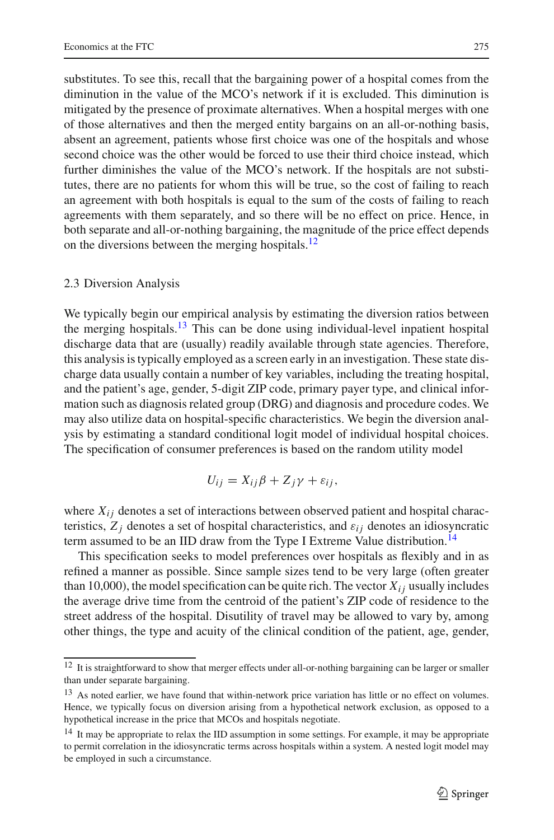substitutes. To see this, recall that the bargaining power of a hospital comes from the diminution in the value of the MCO's network if it is excluded. This diminution is mitigated by the presence of proximate alternatives. When a hospital merges with one of those alternatives and then the merged entity bargains on an all-or-nothing basis, absent an agreement, patients whose first choice was one of the hospitals and whose second choice was the other would be forced to use their third choice instead, which further diminishes the value of the MCO's network. If the hospitals are not substitutes, there are no patients for whom this will be true, so the cost of failing to reach an agreement with both hospitals is equal to the sum of the costs of failing to reach agreements with them separately, and so there will be no effect on price. Hence, in both separate and all-or-nothing bargaining, the magnitude of the price effect depends on the diversions between the merging hospitals.<sup>[12](#page-4-0)</sup>

### 2.3 Diversion Analysis

We typically begin our empirical analysis by estimating the diversion ratios between the merging hospitals.<sup>13</sup> This can be done using individual-level inpatient hospital discharge data that are (usually) readily available through state agencies. Therefore, this analysis is typically employed as a screen early in an investigation. These state discharge data usually contain a number of key variables, including the treating hospital, and the patient's age, gender, 5-digit ZIP code, primary payer type, and clinical information such as diagnosis related group (DRG) and diagnosis and procedure codes. We may also utilize data on hospital-specific characteristics. We begin the diversion analysis by estimating a standard conditional logit model of individual hospital choices. The specification of consumer preferences is based on the random utility model

$$
U_{ij} = X_{ij}\beta + Z_j\gamma + \varepsilon_{ij},
$$

where  $X_{ij}$  denotes a set of interactions between observed patient and hospital characteristics,  $Z_i$  denotes a set of hospital characteristics, and  $\varepsilon_{ij}$  denotes an idiosyncratic term assumed to be an IID draw from the Type I Extreme Value distribution.<sup>14</sup>

This specification seeks to model preferences over hospitals as flexibly and in as refined a manner as possible. Since sample sizes tend to be very large (often greater than 10,000), the model specification can be quite rich. The vector  $X_{ij}$  usually includes the average drive time from the centroid of the patient's ZIP code of residence to the street address of the hospital. Disutility of travel may be allowed to vary by, among other things, the type and acuity of the clinical condition of the patient, age, gender,

<span id="page-4-0"></span><sup>&</sup>lt;sup>12</sup> It is straightforward to show that merger effects under all-or-nothing bargaining can be larger or smaller than under separate bargaining.

<span id="page-4-1"></span><sup>&</sup>lt;sup>13</sup> As noted earlier, we have found that within-network price variation has little or no effect on volumes. Hence, we typically focus on diversion arising from a hypothetical network exclusion, as opposed to a hypothetical increase in the price that MCOs and hospitals negotiate.

<span id="page-4-2"></span><sup>&</sup>lt;sup>14</sup> It may be appropriate to relax the IID assumption in some settings. For example, it may be appropriate to permit correlation in the idiosyncratic terms across hospitals within a system. A nested logit model may be employed in such a circumstance.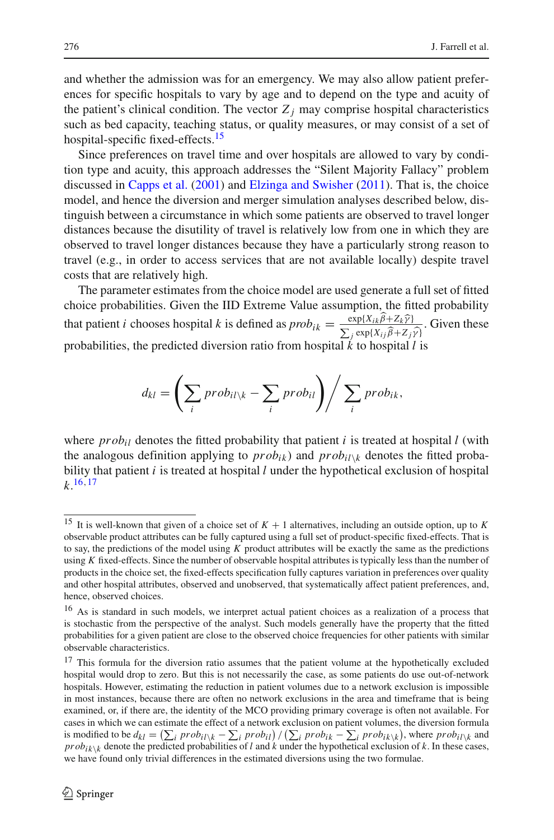and whether the admission was for an emergency. We may also allow patient preferences for specific hospitals to vary by age and to depend on the type and acuity of the patient's clinical condition. The vector  $Z_i$  may comprise hospital characteristics such as bed capacity, teaching status, or quality measures, or may consist of a set of hospital-specific fixed-effects.<sup>15</sup>

Since preferences on travel time and over hospitals are allowed to vary by condition type and acuity, this approach addresses the "Silent Majority Fallacy" problem discussed in [Capps et al.](#page-24-4) [\(2001\)](#page-24-4) and [Elzinga and Swisher](#page-24-5) [\(2011](#page-24-5)). That is, the choice model, and hence the diversion and merger simulation analyses described below, distinguish between a circumstance in which some patients are observed to travel longer distances because the disutility of travel is relatively low from one in which they are observed to travel longer distances because they have a particularly strong reason to travel (e.g., in order to access services that are not available locally) despite travel costs that are relatively high.

The parameter estimates from the choice model are used generate a full set of fitted choice probabilities. Given the IID Extreme Value assumption, the fitted probability that patient *i* chooses hospital *k* is defined as  $prob_{ik} = \frac{\exp\{X_{ik}\beta + Z_k\hat{\gamma}\}}{\sum_j \exp\{X_{ij}\hat{\beta} + Z_j\hat{\gamma}\}}$ . Given these probabilities, the predicted diversion ratio from hospital *k* to hospital *l* is

$$
d_{kl} = \left(\sum_i prob_{il \setminus k} - \sum_i prob_{il}\right) / \sum_i prob_{ik},
$$

where  $prob_{il}$  denotes the fitted probability that patient *i* is treated at hospital *l* (with the analogous definition applying to  $prob_{ik}$  and  $prob_{il}\$ <sub>k</sub> denotes the fitted probability that patient *i* is treated at hospital *l* under the hypothetical exclusion of hospital  $k.\frac{16,17}{2}$  $k.\frac{16,17}{2}$  $k.\frac{16,17}{2}$  $k.\frac{16,17}{2}$  $k.\frac{16,17}{2}$ 

<span id="page-5-0"></span><sup>15</sup> It is well-known that given of a choice set of *K* + 1 alternatives, including an outside option, up to *K* observable product attributes can be fully captured using a full set of product-specific fixed-effects. That is to say, the predictions of the model using *K* product attributes will be exactly the same as the predictions using *K* fixed-effects. Since the number of observable hospital attributes is typically less than the number of products in the choice set, the fixed-effects specification fully captures variation in preferences over quality and other hospital attributes, observed and unobserved, that systematically affect patient preferences, and, hence, observed choices.

<span id="page-5-1"></span><sup>&</sup>lt;sup>16</sup> As is standard in such models, we interpret actual patient choices as a realization of a process that is stochastic from the perspective of the analyst. Such models generally have the property that the fitted probabilities for a given patient are close to the observed choice frequencies for other patients with similar observable characteristics.

<span id="page-5-2"></span><sup>&</sup>lt;sup>17</sup> This formula for the diversion ratio assumes that the patient volume at the hypothetically excluded hospital would drop to zero. But this is not necessarily the case, as some patients do use out-of-network hospitals. However, estimating the reduction in patient volumes due to a network exclusion is impossible in most instances, because there are often no network exclusions in the area and timeframe that is being examined, or, if there are, the identity of the MCO providing primary coverage is often not available. For cases in which we can estimate the effect of a network exclusion on patient volumes, the diversion formula is modified to be  $d_{kl} = (\sum_i prob_{il} \setminus k - \sum_i prob_{il}) / (\sum_i prob_{ik} - \sum_i prob_{ik} \setminus k)$ , where  $prob_{il} \setminus k$  and  $prob_{ik}\setminus k$  denote the predicted probabilities of *l* and *k* under the hypothetical exclusion of *k*. In these cases, we have found only trivial differences in the estimated diversions using the two formulae.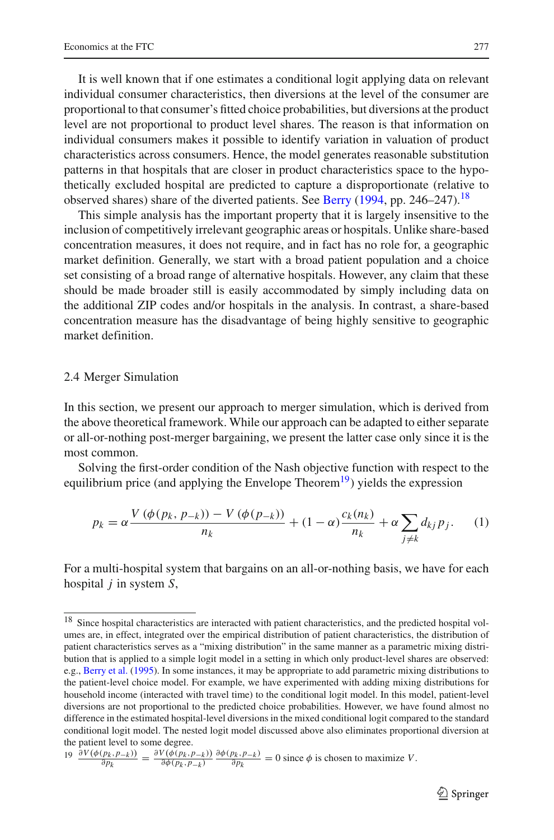It is well known that if one estimates a conditional logit applying data on relevant individual consumer characteristics, then diversions at the level of the consumer are proportional to that consumer's fitted choice probabilities, but diversions at the product level are not proportional to product level shares. The reason is that information on individual consumers makes it possible to identify variation in valuation of product characteristics across consumers. Hence, the model generates reasonable substitution patterns in that hospitals that are closer in product characteristics space to the hypothetically excluded hospital are predicted to capture a disproportionate (relative to observed shares) share of the diverted patients. See [Berry](#page-24-6) [\(1994,](#page-24-6) pp. 246–247).[18](#page-6-0)

This simple analysis has the important property that it is largely insensitive to the inclusion of competitively irrelevant geographic areas or hospitals. Unlike share-based concentration measures, it does not require, and in fact has no role for, a geographic market definition. Generally, we start with a broad patient population and a choice set consisting of a broad range of alternative hospitals. However, any claim that these should be made broader still is easily accommodated by simply including data on the additional ZIP codes and/or hospitals in the analysis. In contrast, a share-based concentration measure has the disadvantage of being highly sensitive to geographic market definition.

### 2.4 Merger Simulation

In this section, we present our approach to merger simulation, which is derived from the above theoretical framework. While our approach can be adapted to either separate or all-or-nothing post-merger bargaining, we present the latter case only since it is the most common.

Solving the first-order condition of the Nash objective function with respect to the equilibrium price (and applying the Envelope Theorem<sup>19</sup>) yields the expression

$$
p_k = \alpha \frac{V(\phi(p_k, p_{-k})) - V(\phi(p_{-k}))}{n_k} + (1 - \alpha) \frac{c_k(n_k)}{n_k} + \alpha \sum_{j \neq k} d_{kj} p_j.
$$
 (1)

<span id="page-6-2"></span>For a multi-hospital system that bargains on an all-or-nothing basis, we have for each hospital *j* in system *S*,

<span id="page-6-0"></span><sup>&</sup>lt;sup>18</sup> Since hospital characteristics are interacted with patient characteristics, and the predicted hospital volumes are, in effect, integrated over the empirical distribution of patient characteristics, the distribution of patient characteristics serves as a "mixing distribution" in the same manner as a parametric mixing distribution that is applied to a simple logit model in a setting in which only product-level shares are observed: e.g., [Berry et al.](#page-24-7) [\(1995](#page-24-7)). In some instances, it may be appropriate to add parametric mixing distributions to the patient-level choice model. For example, we have experimented with adding mixing distributions for household income (interacted with travel time) to the conditional logit model. In this model, patient-level diversions are not proportional to the predicted choice probabilities. However, we have found almost no difference in the estimated hospital-level diversions in the mixed conditional logit compared to the standard conditional logit model. The nested logit model discussed above also eliminates proportional diversion at the patient level to some degree.

<span id="page-6-1"></span> $\frac{\partial V(\phi(p_k, p_{-k}))}{\partial p_k} = \frac{\partial V(\phi(p_k, p_{-k}))}{\partial \phi(p_k, p_{-k})} \frac{\partial \phi(p_k, p_{-k})}{\partial p_k} = 0$  since  $\phi$  is chosen to maximize V.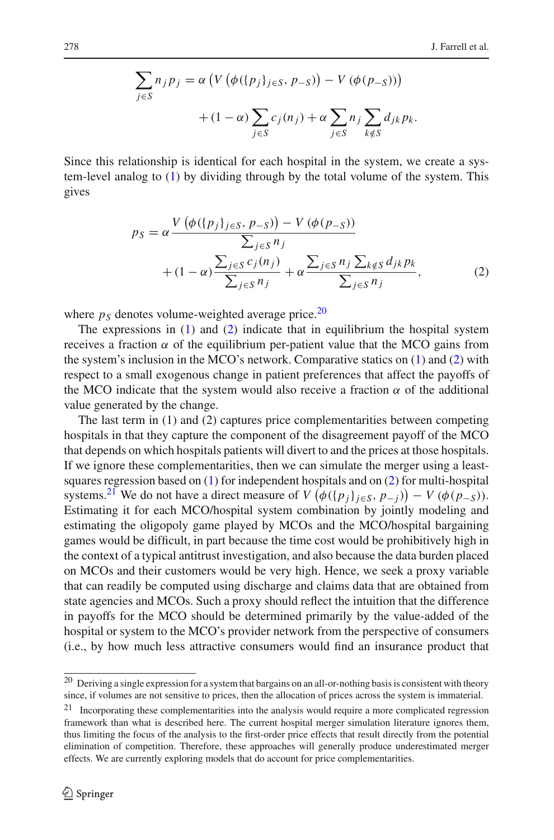$$
\sum_{j \in S} n_j p_j = \alpha \left( V \left( \phi(\{p_j\}_{j \in S}, p_{-S}) \right) - V \left( \phi(p_{-S}) \right) \right) + (1 - \alpha) \sum_{j \in S} c_j(n_j) + \alpha \sum_{j \in S} n_j \sum_{k \notin S} d_{jk} p_k.
$$

<span id="page-7-1"></span>Since this relationship is identical for each hospital in the system, we create a system-level analog to [\(1\)](#page-6-2) by dividing through by the total volume of the system. This gives

$$
p_S = \alpha \frac{V(\phi(\{p_j\}_{j \in S}, p_{-S})) - V(\phi(p_{-S}))}{\sum_{j \in S} n_j} + (1 - \alpha) \frac{\sum_{j \in S} c_j(n_j)}{\sum_{j \in S} n_j} + \alpha \frac{\sum_{j \in S} n_j \sum_{k \notin S} d_{jk} p_k}{\sum_{j \in S} n_j}, \tag{2}
$$

where  $p<sub>S</sub>$  denotes volume-weighted average price.<sup>[20](#page-7-0)</sup>

The expressions in  $(1)$  and  $(2)$  indicate that in equilibrium the hospital system receives a fraction  $\alpha$  of the equilibrium per-patient value that the MCO gains from the system's inclusion in the MCO's network. Comparative statics on [\(1\)](#page-6-2) and [\(2\)](#page-7-1) with respect to a small exogenous change in patient preferences that affect the payoffs of the MCO indicate that the system would also receive a fraction  $\alpha$  of the additional value generated by the change.

The last term in (1) and (2) captures price complementarities between competing hospitals in that they capture the component of the disagreement payoff of the MCO that depends on which hospitals patients will divert to and the prices at those hospitals. If we ignore these complementarities, then we can simulate the merger using a leastsquares regression based on [\(1\)](#page-6-2) for independent hospitals and on [\(2\)](#page-7-1) for multi-hospital systems.<sup>21</sup> We do not have a direct measure of *V*  $(\phi({p_j}_{j \in S}, p_{-j})) - V(\phi(p_{-S}))$ . Estimating it for each MCO/hospital system combination by jointly modeling and estimating the oligopoly game played by MCOs and the MCO/hospital bargaining games would be difficult, in part because the time cost would be prohibitively high in the context of a typical antitrust investigation, and also because the data burden placed on MCOs and their customers would be very high. Hence, we seek a proxy variable that can readily be computed using discharge and claims data that are obtained from state agencies and MCOs. Such a proxy should reflect the intuition that the difference in payoffs for the MCO should be determined primarily by the value-added of the hospital or system to the MCO's provider network from the perspective of consumers (i.e., by how much less attractive consumers would find an insurance product that

<span id="page-7-0"></span> $20$  Deriving a single expression for a system that bargains on an all-or-nothing basis is consistent with theory since, if volumes are not sensitive to prices, then the allocation of prices across the system is immaterial.

<span id="page-7-2"></span><sup>21</sup> Incorporating these complementarities into the analysis would require a more complicated regression framework than what is described here. The current hospital merger simulation literature ignores them, thus limiting the focus of the analysis to the first-order price effects that result directly from the potential elimination of competition. Therefore, these approaches will generally produce underestimated merger effects. We are currently exploring models that do account for price complementarities.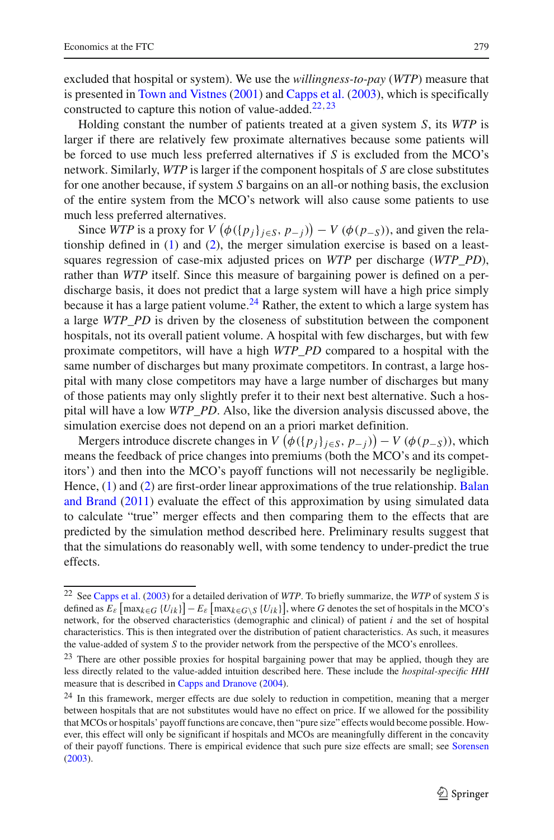excluded that hospital or system). We use the *willingness-to-pay* (*WTP*) measure that is presented in [Town and Vistnes](#page-25-0) [\(2001](#page-25-0)) and [Capps et al.](#page-24-8) [\(2003\)](#page-24-8), which is specifically constructed to capture this notion of value-added.<sup>[22](#page-8-0),[23](#page-8-1)</sup>

Holding constant the number of patients treated at a given system *S*, its *WTP* is larger if there are relatively few proximate alternatives because some patients will be forced to use much less preferred alternatives if *S* is excluded from the MCO's network. Similarly, *WTP* is larger if the component hospitals of *S* are close substitutes for one another because, if system *S* bargains on an all-or nothing basis, the exclusion of the entire system from the MCO's network will also cause some patients to use much less preferred alternatives.

Since *WTP* is a proxy for  $V(\phi({p_j}_{j \in S}, p_{-j})) - V(\phi(p_{-S}))$ , and given the relationship defined in  $(1)$  and  $(2)$ , the merger simulation exercise is based on a leastsquares regression of case-mix adjusted prices on *WTP* per discharge (*WTP\_PD*), rather than *WTP* itself. Since this measure of bargaining power is defined on a perdischarge basis, it does not predict that a large system will have a high price simply because it has a large patient volume.<sup>[24](#page-8-2)</sup> Rather, the extent to which a large system has a large *WTP\_PD* is driven by the closeness of substitution between the component hospitals, not its overall patient volume. A hospital with few discharges, but with few proximate competitors, will have a high *WTP\_PD* compared to a hospital with the same number of discharges but many proximate competitors. In contrast, a large hospital with many close competitors may have a large number of discharges but many of those patients may only slightly prefer it to their next best alternative. Such a hospital will have a low *WTP\_PD*. Also, like the diversion analysis discussed above, the simulation exercise does not depend on an a priori market definition.

Mergers introduce discrete changes in  $V(\phi({p_j}_{j \in S}, p_{-j})) - V(\phi(p_{-S}))$ , which means the feedback of price changes into premiums (both the MCO's and its competitors') and then into the MCO's payoff functions will not necessarily be negligible. Hence, [\(1\)](#page-6-2) [and](#page-24-9) [\(2\)](#page-7-1) [are](#page-24-9) [first-order](#page-24-9) [linear](#page-24-9) [approximations](#page-24-9) [of](#page-24-9) [the](#page-24-9) [true](#page-24-9) [relationship.](#page-24-9) Balan and Brand [\(2011\)](#page-24-9) evaluate the effect of this approximation by using simulated data to calculate "true" merger effects and then comparing them to the effects that are predicted by the simulation method described here. Preliminary results suggest that that the simulations do reasonably well, with some tendency to under-predict the true effects.

<span id="page-8-0"></span><sup>22</sup> See [Capps et al.](#page-24-8) [\(2003](#page-24-8)) for a detailed derivation of *WTP*. To briefly summarize, the *WTP* of system *S* is defined as  $E_{\varepsilon}$   $[\max_{k \in G} \{U_{ik}\}] - E_{\varepsilon}$   $[\max_{k \in G \setminus S} \{U_{ik}\}]$ , where *G* denotes the set of hospitals in the MCO's network, for the observed characteristics (demographic and clinical) of patient *i* and the set of hospital characteristics. This is then integrated over the distribution of patient characteristics. As such, it measures the value-added of system *S* to the provider network from the perspective of the MCO's enrollees.

<span id="page-8-1"></span><sup>&</sup>lt;sup>23</sup> There are other possible proxies for hospital bargaining power that may be applied, though they are less directly related to the value-added intuition described here. These include the *hospital-specific HHI* measure that is described in [Capps and Dranove](#page-24-10) [\(2004](#page-24-10)).

<span id="page-8-2"></span><sup>&</sup>lt;sup>24</sup> In this framework, merger effects are due solely to reduction in competition, meaning that a merger between hospitals that are not substitutes would have no effect on price. If we allowed for the possibility that MCOs or hospitals' payoff functions are concave, then "pure size" effects would become possible. However, this effect will only be significant if hospitals and MCOs are meaningfully different in the concavity of their payoff functions. There is empirical evidence that such pure size effects are small; see [Sorensen](#page-24-11) [\(2003](#page-24-11)).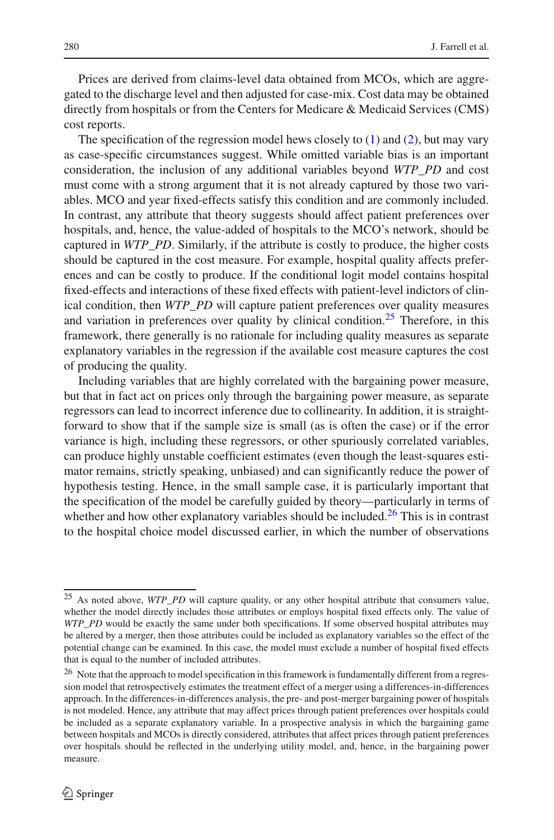Prices are derived from claims-level data obtained from MCOs, which are aggregated to the discharge level and then adjusted for case-mix. Cost data may be obtained directly from hospitals or from the Centers for Medicare & Medicaid Services (CMS) cost reports.

The specification of the regression model hews closely to  $(1)$  and  $(2)$ , but may vary as case-specific circumstances suggest. While omitted variable bias is an important consideration, the inclusion of any additional variables beyond *WTP\_PD* and cost must come with a strong argument that it is not already captured by those two variables. MCO and year fixed-effects satisfy this condition and are commonly included. In contrast, any attribute that theory suggests should affect patient preferences over hospitals, and, hence, the value-added of hospitals to the MCO's network, should be captured in *WTP\_PD*. Similarly, if the attribute is costly to produce, the higher costs should be captured in the cost measure. For example, hospital quality affects preferences and can be costly to produce. If the conditional logit model contains hospital fixed-effects and interactions of these fixed effects with patient-level indictors of clinical condition, then *WTP\_PD* will capture patient preferences over quality measures and variation in preferences over quality by clinical condition.<sup>[25](#page-9-0)</sup> Therefore, in this framework, there generally is no rationale for including quality measures as separate explanatory variables in the regression if the available cost measure captures the cost of producing the quality.

Including variables that are highly correlated with the bargaining power measure, but that in fact act on prices only through the bargaining power measure, as separate regressors can lead to incorrect inference due to collinearity. In addition, it is straightforward to show that if the sample size is small (as is often the case) or if the error variance is high, including these regressors, or other spuriously correlated variables, can produce highly unstable coefficient estimates (even though the least-squares estimator remains, strictly speaking, unbiased) and can significantly reduce the power of hypothesis testing. Hence, in the small sample case, it is particularly important that the specification of the model be carefully guided by theory—particularly in terms of whether and how other explanatory variables should be included.<sup>26</sup> This is in contrast to the hospital choice model discussed earlier, in which the number of observations

<span id="page-9-0"></span><sup>25</sup> As noted above, *WTP\_PD* will capture quality, or any other hospital attribute that consumers value, whether the model directly includes those attributes or employs hospital fixed effects only. The value of *WTP\_PD* would be exactly the same under both specifications. If some observed hospital attributes may be altered by a merger, then those attributes could be included as explanatory variables so the effect of the potential change can be examined. In this case, the model must exclude a number of hospital fixed effects that is equal to the number of included attributes.

<span id="page-9-1"></span><sup>&</sup>lt;sup>26</sup> Note that the approach to model specification in this framework is fundamentally different from a regression model that retrospectively estimates the treatment effect of a merger using a differences-in-differences approach. In the differences-in-differences analysis, the pre- and post-merger bargaining power of hospitals is not modeled. Hence, any attribute that may affect prices through patient preferences over hospitals could be included as a separate explanatory variable. In a prospective analysis in which the bargaining game between hospitals and MCOs is directly considered, attributes that affect prices through patient preferences over hospitals should be reflected in the underlying utility model, and, hence, in the bargaining power measure.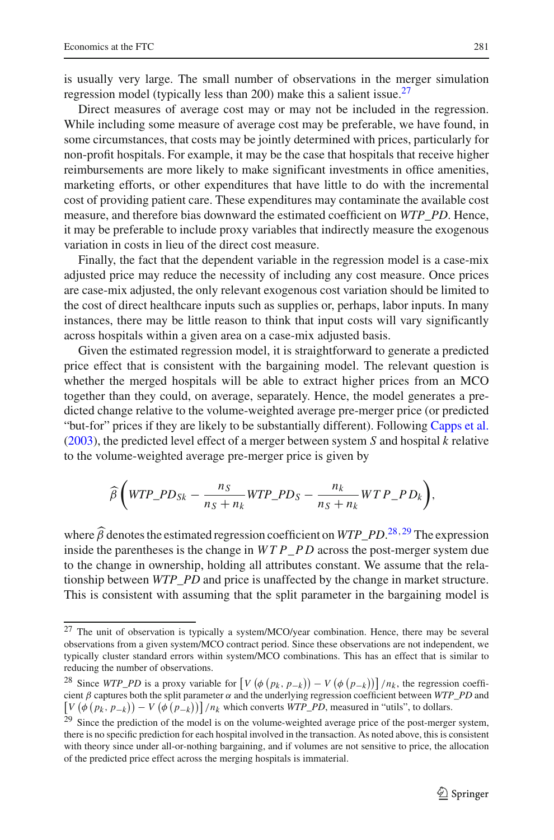is usually very large. The small number of observations in the merger simulation regression model (typically less than 200) make this a salient issue.<sup>27</sup>

Direct measures of average cost may or may not be included in the regression. While including some measure of average cost may be preferable, we have found, in some circumstances, that costs may be jointly determined with prices, particularly for non-profit hospitals. For example, it may be the case that hospitals that receive higher reimbursements are more likely to make significant investments in office amenities, marketing efforts, or other expenditures that have little to do with the incremental cost of providing patient care. These expenditures may contaminate the available cost measure, and therefore bias downward the estimated coefficient on *WTP\_PD*. Hence, it may be preferable to include proxy variables that indirectly measure the exogenous variation in costs in lieu of the direct cost measure.

Finally, the fact that the dependent variable in the regression model is a case-mix adjusted price may reduce the necessity of including any cost measure. Once prices are case-mix adjusted, the only relevant exogenous cost variation should be limited to the cost of direct healthcare inputs such as supplies or, perhaps, labor inputs. In many instances, there may be little reason to think that input costs will vary significantly across hospitals within a given area on a case-mix adjusted basis.

Given the estimated regression model, it is straightforward to generate a predicted price effect that is consistent with the bargaining model. The relevant question is whether the merged hospitals will be able to extract higher prices from an MCO together than they could, on average, separately. Hence, the model generates a predicted change relative to the volume-weighted average pre-merger price (or predicted "but-for" prices if they are likely to be substantially different). Following [Capps et al.](#page-24-8) [\(2003\)](#page-24-8), the predicted level effect of a merger between system *S* and hospital *k* relative to the volume-weighted average pre-merger price is given by

$$
\widehat{\beta}\left(\text{WTP\_PD}_{Sk} - \frac{n_S}{n_S + n_k}\text{WTP\_PD}_S - \frac{n_k}{n_S + n_k}\text{WTP\_PD}_k\right),\right
$$

where  $\hat{\beta}$  denotes the estimated regression coefficient on *WTP\_PD*.<sup>[28](#page-10-1),[29](#page-10-2)</sup> The expression inside the parentheses is the change in *WTP*\_*P D* across the post-merger system due to the change in ownership, holding all attributes constant. We assume that the relationship between *WTP\_PD* and price is unaffected by the change in market structure. This is consistent with assuming that the split parameter in the bargaining model is

<span id="page-10-0"></span><sup>27</sup> The unit of observation is typically a system/MCO/year combination. Hence, there may be several observations from a given system/MCO contract period. Since these observations are not independent, we typically cluster standard errors within system/MCO combinations. This has an effect that is similar to reducing the number of observations.

<span id="page-10-1"></span><sup>&</sup>lt;sup>28</sup> Since *WTP\_PD* is a proxy variable for  $\left[ V \left( \phi \left( p_k, p_{-k} \right) \right) - V \left( \phi \left( p_{-k} \right) \right) \right] / n_k$ , the regression coefficient  $\beta$  captures both the split parameter  $\alpha$  and the underlying regression coefficient between *WTP\_PD* and  $\left[ V \left( \phi \left( p_k, p_{-k} \right) \right) - V \left( \phi \left( p_{-k} \right) \right) \right] / n_k$  which converts *WTP\_PD*, measured in "utils", to dollars.

<span id="page-10-2"></span><sup>&</sup>lt;sup>29</sup> Since the prediction of the model is on the volume-weighted average price of the post-merger system, there is no specific prediction for each hospital involved in the transaction. As noted above, this is consistent with theory since under all-or-nothing bargaining, and if volumes are not sensitive to price, the allocation of the predicted price effect across the merging hospitals is immaterial.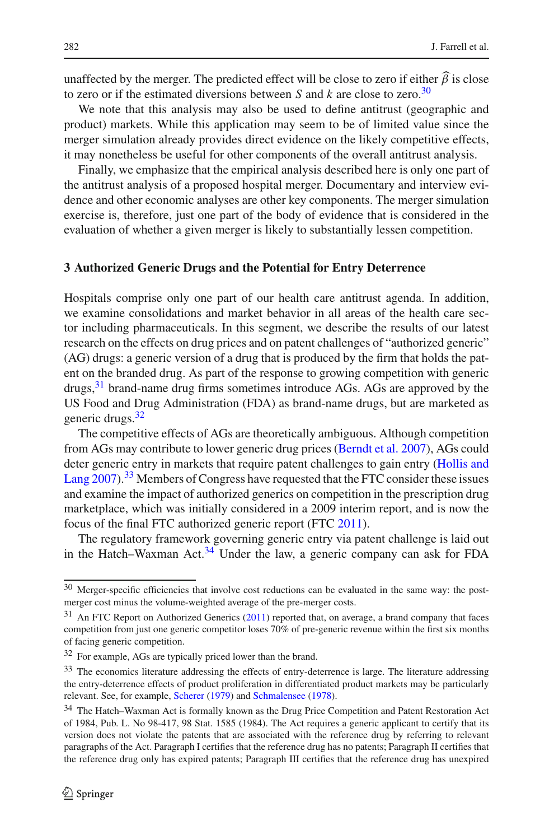unaffected by the merger. The predicted effect will be close to zero if either  $\beta$  is close to zero or if the estimated diversions between *S* and *k* are close to zero.<sup>30</sup>

We note that this analysis may also be used to define antitrust (geographic and product) markets. While this application may seem to be of limited value since the merger simulation already provides direct evidence on the likely competitive effects, it may nonetheless be useful for other components of the overall antitrust analysis.

Finally, we emphasize that the empirical analysis described here is only one part of the antitrust analysis of a proposed hospital merger. Documentary and interview evidence and other economic analyses are other key components. The merger simulation exercise is, therefore, just one part of the body of evidence that is considered in the evaluation of whether a given merger is likely to substantially lessen competition.

### **3 Authorized Generic Drugs and the Potential for Entry Deterrence**

Hospitals comprise only one part of our health care antitrust agenda. In addition, we examine consolidations and market behavior in all areas of the health care sector including pharmaceuticals. In this segment, we describe the results of our latest research on the effects on drug prices and on patent challenges of "authorized generic" (AG) drugs: a generic version of a drug that is produced by the firm that holds the patent on the branded drug. As part of the response to growing competition with generic drugs, $31$  brand-name drug firms sometimes introduce AGs. AGs are approved by the US Food and Drug Administration (FDA) as brand-name drugs, but are marketed as generic drugs.<sup>32</sup>

The competitive effects of AGs are theoretically ambiguous. Although competition from AGs may contribute to lower generic drug prices [\(Berndt et al. 2007](#page-24-12)), AGs could deter [generic](#page-24-13) [entry](#page-24-13) [in](#page-24-13) [markets](#page-24-13) [that](#page-24-13) [require](#page-24-13) [patent](#page-24-13) [challenges](#page-24-13) [to](#page-24-13) [gain](#page-24-13) [entry](#page-24-13) [\(](#page-24-13)Hollis and Lang [2007\)](#page-24-13).<sup>[33](#page-11-3)</sup> Members of Congress have requested that the FTC consider these issues and examine the impact of authorized generics on competition in the prescription drug marketplace, which was initially considered in a 2009 interim report, and is now the focus of the final FTC authorized generic report (FTC [2011\)](#page-24-14).

The regulatory framework governing generic entry via patent challenge is laid out in the Hatch–Waxman Act.<sup>34</sup> Under the law, a generic company can ask for FDA

<span id="page-11-0"></span><sup>30</sup> Merger-specific efficiencies that involve cost reductions can be evaluated in the same way: the postmerger cost minus the volume-weighted average of the pre-merger costs.

<span id="page-11-1"></span> $31$  An FTC Report on Authorized Generics [\(2011](#page-24-14)) reported that, on average, a brand company that faces competition from just one generic competitor loses 70% of pre-generic revenue within the first six months of facing generic competition.

<sup>32</sup> For example, AGs are typically priced lower than the brand.

<span id="page-11-3"></span><span id="page-11-2"></span><sup>&</sup>lt;sup>33</sup> The economics literature addressing the effects of entry-deterrence is large. The literature addressing the entry-deterrence effects of product proliferation in differentiated product markets may be particularly relevant. See, for example, [Scherer](#page-24-15) [\(1979\)](#page-24-15) and [Schmalensee](#page-24-16) [\(1978](#page-24-16)).

<span id="page-11-4"></span><sup>34</sup> The Hatch–Waxman Act is formally known as the Drug Price Competition and Patent Restoration Act of 1984, Pub. L. No 98-417, 98 Stat. 1585 (1984). The Act requires a generic applicant to certify that its version does not violate the patents that are associated with the reference drug by referring to relevant paragraphs of the Act. Paragraph I certifies that the reference drug has no patents; Paragraph II certifies that the reference drug only has expired patents; Paragraph III certifies that the reference drug has unexpired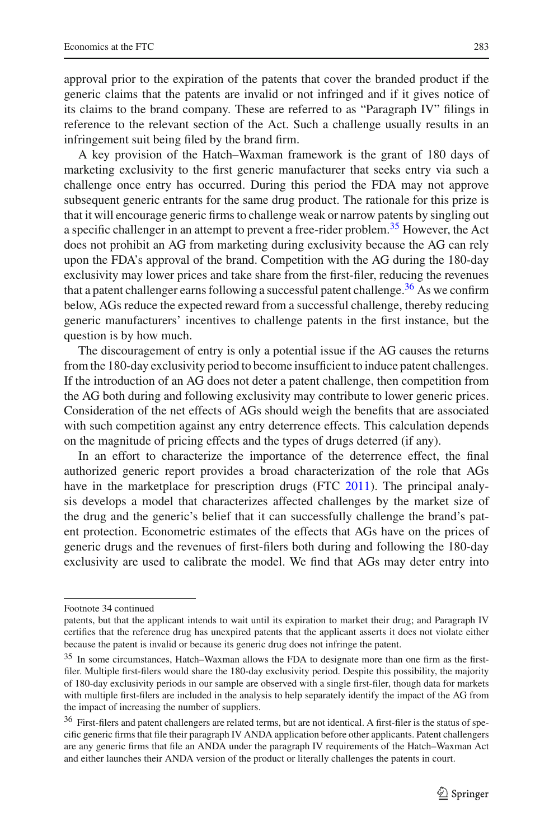approval prior to the expiration of the patents that cover the branded product if the generic claims that the patents are invalid or not infringed and if it gives notice of its claims to the brand company. These are referred to as "Paragraph IV" filings in reference to the relevant section of the Act. Such a challenge usually results in an infringement suit being filed by the brand firm.

A key provision of the Hatch–Waxman framework is the grant of 180 days of marketing exclusivity to the first generic manufacturer that seeks entry via such a challenge once entry has occurred. During this period the FDA may not approve subsequent generic entrants for the same drug product. The rationale for this prize is that it will encourage generic firms to challenge weak or narrow patents by singling out a specific challenger in an attempt to prevent a free-rider problem.<sup>[35](#page-12-0)</sup> However, the Act does not prohibit an AG from marketing during exclusivity because the AG can rely upon the FDA's approval of the brand. Competition with the AG during the 180-day exclusivity may lower prices and take share from the first-filer, reducing the revenues that a patent challenger earns following a successful patent challenge.<sup>36</sup> As we confirm below, AGs reduce the expected reward from a successful challenge, thereby reducing generic manufacturers' incentives to challenge patents in the first instance, but the question is by how much.

The discouragement of entry is only a potential issue if the AG causes the returns from the 180-day exclusivity period to become insufficient to induce patent challenges. If the introduction of an AG does not deter a patent challenge, then competition from the AG both during and following exclusivity may contribute to lower generic prices. Consideration of the net effects of AGs should weigh the benefits that are associated with such competition against any entry deterrence effects. This calculation depends on the magnitude of pricing effects and the types of drugs deterred (if any).

In an effort to characterize the importance of the deterrence effect, the final authorized generic report provides a broad characterization of the role that AGs have in the marketplace for prescription drugs (FTC [2011\)](#page-24-14). The principal analysis develops a model that characterizes affected challenges by the market size of the drug and the generic's belief that it can successfully challenge the brand's patent protection. Econometric estimates of the effects that AGs have on the prices of generic drugs and the revenues of first-filers both during and following the 180-day exclusivity are used to calibrate the model. We find that AGs may deter entry into

Footnote 34 continued

patents, but that the applicant intends to wait until its expiration to market their drug; and Paragraph IV certifies that the reference drug has unexpired patents that the applicant asserts it does not violate either because the patent is invalid or because its generic drug does not infringe the patent.

<span id="page-12-0"></span><sup>&</sup>lt;sup>35</sup> In some circumstances, Hatch–Waxman allows the FDA to designate more than one firm as the firstfiler. Multiple first-filers would share the 180-day exclusivity period. Despite this possibility, the majority of 180-day exclusivity periods in our sample are observed with a single first-filer, though data for markets with multiple first-filers are included in the analysis to help separately identify the impact of the AG from the impact of increasing the number of suppliers.

<span id="page-12-1"></span><sup>&</sup>lt;sup>36</sup> First-filers and patent challengers are related terms, but are not identical. A first-filer is the status of specific generic firms that file their paragraph IV ANDA application before other applicants. Patent challengers are any generic firms that file an ANDA under the paragraph IV requirements of the Hatch–Waxman Act and either launches their ANDA version of the product or literally challenges the patents in court.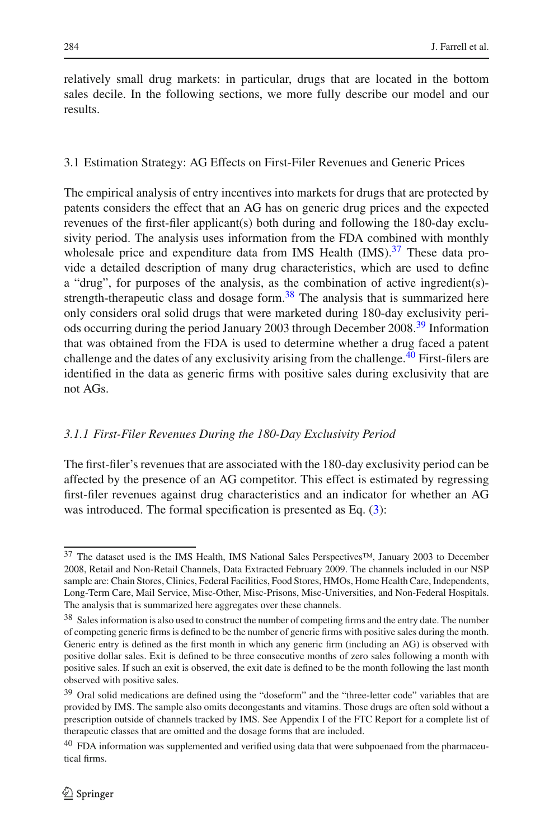relatively small drug markets: in particular, drugs that are located in the bottom sales decile. In the following sections, we more fully describe our model and our results.

## 3.1 Estimation Strategy: AG Effects on First-Filer Revenues and Generic Prices

The empirical analysis of entry incentives into markets for drugs that are protected by patents considers the effect that an AG has on generic drug prices and the expected revenues of the first-filer applicant(s) both during and following the 180-day exclusivity period. The analysis uses information from the FDA combined with monthly wholesale price and expenditure data from IMS Health (IMS).<sup>37</sup> These data provide a detailed description of many drug characteristics, which are used to define a "drug", for purposes of the analysis, as the combination of active ingredient(s) strength-therapeutic class and dosage form. $38$  The analysis that is summarized here only considers oral solid drugs that were marketed during 180-day exclusivity periods occurring during the period January 2003 through December 2008.[39](#page-13-2) Information that was obtained from the FDA is used to determine whether a drug faced a patent challenge and the dates of any exclusivity arising from the challenge.<sup>[40](#page-13-3)</sup> First-filers are identified in the data as generic firms with positive sales during exclusivity that are not AGs.

# *3.1.1 First-Filer Revenues During the 180-Day Exclusivity Period*

The first-filer's revenues that are associated with the 180-day exclusivity period can be affected by the presence of an AG competitor. This effect is estimated by regressing first-filer revenues against drug characteristics and an indicator for whether an AG was introduced. The formal specification is presented as Eq. [\(3\)](#page-14-0):

<span id="page-13-0"></span><sup>37</sup> The dataset used is the IMS Health, IMS National Sales Perspectives™, January 2003 to December 2008, Retail and Non-Retail Channels, Data Extracted February 2009. The channels included in our NSP sample are: Chain Stores, Clinics, Federal Facilities, Food Stores, HMOs, Home Health Care, Independents, Long-Term Care, Mail Service, Misc-Other, Misc-Prisons, Misc-Universities, and Non-Federal Hospitals. The analysis that is summarized here aggregates over these channels.

<span id="page-13-1"></span><sup>38</sup> Sales information is also used to construct the number of competing firms and the entry date. The number of competing generic firms is defined to be the number of generic firms with positive sales during the month. Generic entry is defined as the first month in which any generic firm (including an AG) is observed with positive dollar sales. Exit is defined to be three consecutive months of zero sales following a month with positive sales. If such an exit is observed, the exit date is defined to be the month following the last month observed with positive sales.

<span id="page-13-2"></span> $39$  Oral solid medications are defined using the "doseform" and the "three-letter code" variables that are provided by IMS. The sample also omits decongestants and vitamins. Those drugs are often sold without a prescription outside of channels tracked by IMS. See Appendix I of the FTC Report for a complete list of therapeutic classes that are omitted and the dosage forms that are included.

<span id="page-13-3"></span> $40$  FDA information was supplemented and verified using data that were subpoenaed from the pharmaceutical firms.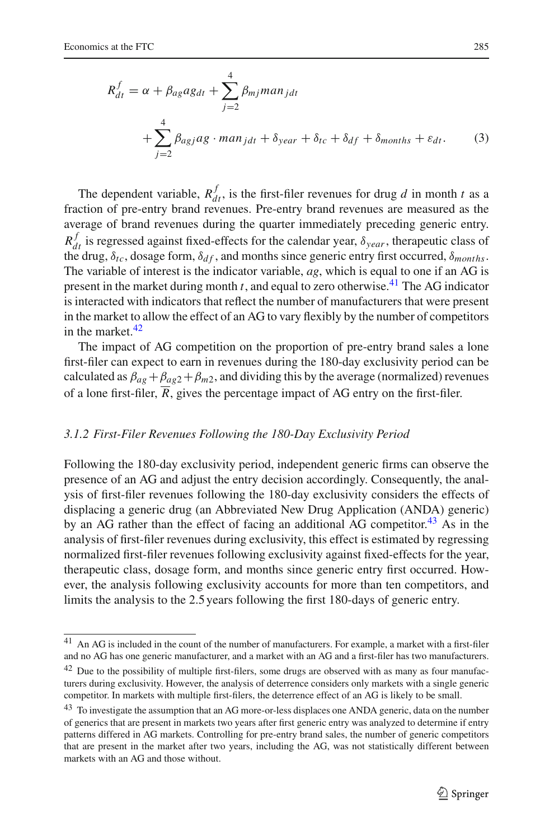<span id="page-14-0"></span>
$$
R_{dt}^{f} = \alpha + \beta_{ag}ag_{dt} + \sum_{j=2}^{4} \beta_{mj} man_{jdt}
$$
  
+ 
$$
\sum_{j=2}^{4} \beta_{agj}ag \cdot man_{jdt} + \delta_{year} + \delta_{tc} + \delta_{df} + \delta_{months} + \varepsilon_{dt}.
$$
 (3)

The dependent variable,  $R_{dt}^f$ , is the first-filer revenues for drug *d* in month *t* as a fraction of pre-entry brand revenues. Pre-entry brand revenues are measured as the average of brand revenues during the quarter immediately preceding generic entry.  $R_{dt}^{f}$  is regressed against fixed-effects for the calendar year,  $\delta_{year}$ , therapeutic class of the drug,  $\delta_{tc}$ , dosage form,  $\delta_{df}$ , and months since generic entry first occurred,  $\delta_{months}$ . The variable of interest is the indicator variable, *ag*, which is equal to one if an AG is present in the market during month *t*, and equal to zero otherwise.[41](#page-14-1) The AG indicator is interacted with indicators that reflect the number of manufacturers that were present in the market to allow the effect of an AG to vary flexibly by the number of competitors in the market. $42$ 

The impact of AG competition on the proportion of pre-entry brand sales a lone first-filer can expect to earn in revenues during the 180-day exclusivity period can be calculated as  $\beta_{ag} + \beta_{ag2} + \beta_{m2}$ , and dividing this by the average (normalized) revenues of a lone first-filer,  $\overline{R}$ , gives the percentage impact of AG entry on the first-filer.

### *3.1.2 First-Filer Revenues Following the 180-Day Exclusivity Period*

Following the 180-day exclusivity period, independent generic firms can observe the presence of an AG and adjust the entry decision accordingly. Consequently, the analysis of first-filer revenues following the 180-day exclusivity considers the effects of displacing a generic drug (an Abbreviated New Drug Application (ANDA) generic) by an AG rather than the effect of facing an additional AG competitor.<sup>[43](#page-14-3)</sup> As in the analysis of first-filer revenues during exclusivity, this effect is estimated by regressing normalized first-filer revenues following exclusivity against fixed-effects for the year, therapeutic class, dosage form, and months since generic entry first occurred. However, the analysis following exclusivity accounts for more than ten competitors, and limits the analysis to the 2.5 years following the first 180-days of generic entry.

<span id="page-14-1"></span><sup>41</sup> An AG is included in the count of the number of manufacturers. For example, a market with a first-filer and no AG has one generic manufacturer, and a market with an AG and a first-filer has two manufacturers.

<span id="page-14-2"></span><sup>&</sup>lt;sup>42</sup> Due to the possibility of multiple first-filers, some drugs are observed with as many as four manufacturers during exclusivity. However, the analysis of deterrence considers only markets with a single generic competitor. In markets with multiple first-filers, the deterrence effect of an AG is likely to be small.

<span id="page-14-3"></span><sup>&</sup>lt;sup>43</sup> To investigate the assumption that an AG more-or-less displaces one ANDA generic, data on the number of generics that are present in markets two years after first generic entry was analyzed to determine if entry patterns differed in AG markets. Controlling for pre-entry brand sales, the number of generic competitors that are present in the market after two years, including the AG, was not statistically different between markets with an AG and those without.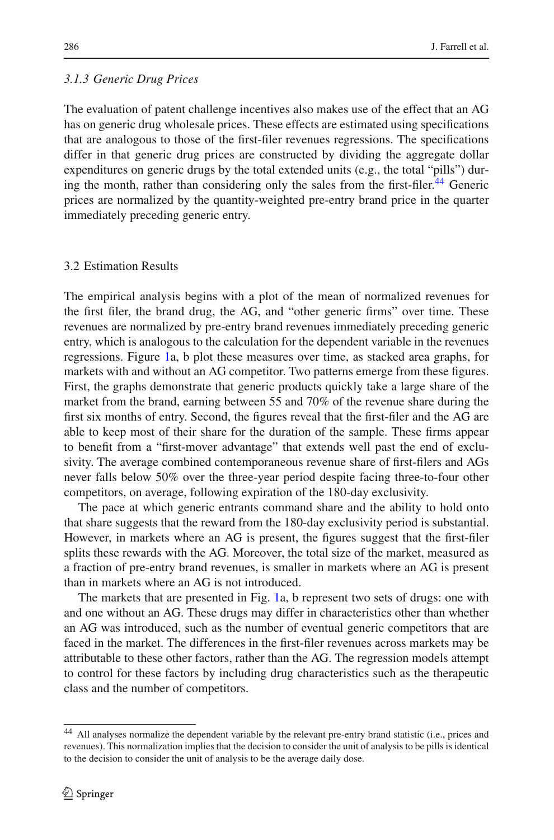### *3.1.3 Generic Drug Prices*

The evaluation of patent challenge incentives also makes use of the effect that an AG has on generic drug wholesale prices. These effects are estimated using specifications that are analogous to those of the first-filer revenues regressions. The specifications differ in that generic drug prices are constructed by dividing the aggregate dollar expenditures on generic drugs by the total extended units (e.g., the total "pills") dur-ing the month, rather than considering only the sales from the first-filer.<sup>[44](#page-15-0)</sup> Generic prices are normalized by the quantity-weighted pre-entry brand price in the quarter immediately preceding generic entry.

### 3.2 Estimation Results

The empirical analysis begins with a plot of the mean of normalized revenues for the first filer, the brand drug, the AG, and "other generic firms" over time. These revenues are normalized by pre-entry brand revenues immediately preceding generic entry, which is analogous to the calculation for the dependent variable in the revenues regressions. Figure [1a](#page-16-0), b plot these measures over time, as stacked area graphs, for markets with and without an AG competitor. Two patterns emerge from these figures. First, the graphs demonstrate that generic products quickly take a large share of the market from the brand, earning between 55 and 70% of the revenue share during the first six months of entry. Second, the figures reveal that the first-filer and the AG are able to keep most of their share for the duration of the sample. These firms appear to benefit from a "first-mover advantage" that extends well past the end of exclusivity. The average combined contemporaneous revenue share of first-filers and AGs never falls below 50% over the three-year period despite facing three-to-four other competitors, on average, following expiration of the 180-day exclusivity.

The pace at which generic entrants command share and the ability to hold onto that share suggests that the reward from the 180-day exclusivity period is substantial. However, in markets where an AG is present, the figures suggest that the first-filer splits these rewards with the AG. Moreover, the total size of the market, measured as a fraction of pre-entry brand revenues, is smaller in markets where an AG is present than in markets where an AG is not introduced.

The markets that are presented in Fig. [1a](#page-16-0), b represent two sets of drugs: one with and one without an AG. These drugs may differ in characteristics other than whether an AG was introduced, such as the number of eventual generic competitors that are faced in the market. The differences in the first-filer revenues across markets may be attributable to these other factors, rather than the AG. The regression models attempt to control for these factors by including drug characteristics such as the therapeutic class and the number of competitors.

<span id="page-15-0"></span><sup>44</sup> All analyses normalize the dependent variable by the relevant pre-entry brand statistic (i.e., prices and revenues). This normalization implies that the decision to consider the unit of analysis to be pills is identical to the decision to consider the unit of analysis to be the average daily dose.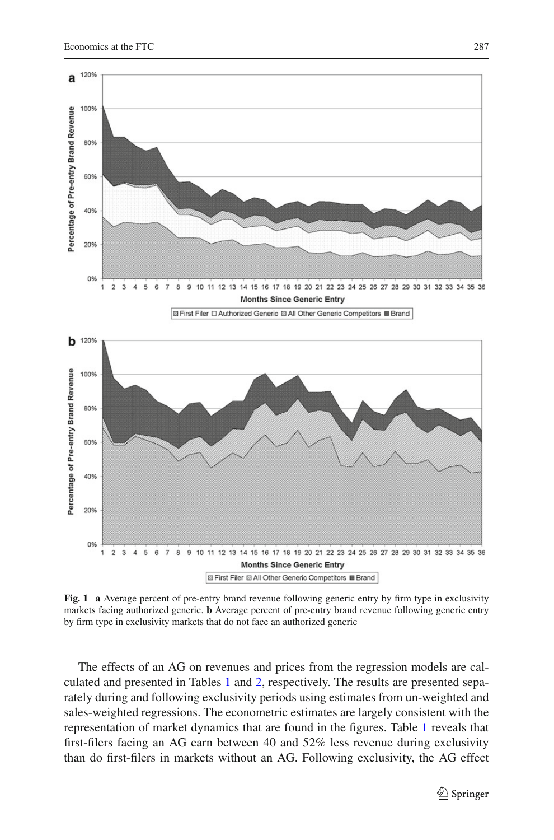

<span id="page-16-0"></span>**Fig. 1** a Average percent of pre-entry brand revenue following generic entry by firm type in exclusivity markets facing authorized generic. **b** Average percent of pre-entry brand revenue following generic entry by firm type in exclusivity markets that do not face an authorized generic

The effects of an AG on revenues and prices from the regression models are calculated and presented in Tables [1](#page-17-0) and [2,](#page-17-1) respectively. The results are presented separately during and following exclusivity periods using estimates from un-weighted and sales-weighted regressions. The econometric estimates are largely consistent with the representation of market dynamics that are found in the figures. Table [1](#page-17-0) reveals that first-filers facing an AG earn between 40 and 52% less revenue during exclusivity than do first-filers in markets without an AG. Following exclusivity, the AG effect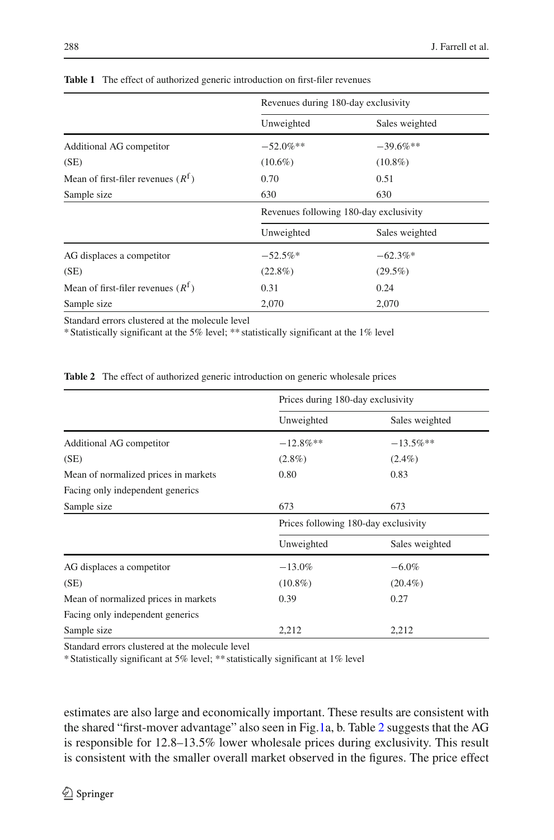<span id="page-17-0"></span>

|                                              | Revenues during 180-day exclusivity    |                |  |
|----------------------------------------------|----------------------------------------|----------------|--|
|                                              | Unweighted                             | Sales weighted |  |
| Additional AG competitor                     | $-52.0\%$ **                           | $-39.6\%**$    |  |
| (SE)                                         | $(10.6\%)$                             | $(10.8\%)$     |  |
| Mean of first-filer revenues $(R^{\dagger})$ | 0.70                                   | 0.51           |  |
| Sample size                                  | 630                                    | 630            |  |
|                                              | Revenues following 180-day exclusivity |                |  |
|                                              | Unweighted                             | Sales weighted |  |
| AG displaces a competitor                    | $-62.3\%$ *<br>$-52.5\%$ *             |                |  |
| (SE)                                         | $(22.8\%)$                             | $(29.5\%)$     |  |
| Mean of first-filer revenues $(R^{\dagger})$ | 0.31                                   | 0.24           |  |
| Sample size                                  | 2,070                                  | 2,070          |  |

**Table 1** The effect of authorized generic introduction on first-filer revenues

Standard errors clustered at the molecule level

\* Statistically significant at the 5% level; \*\* statistically significant at the 1% level

**Table 2** The effect of authorized generic introduction on generic wholesale prices

<span id="page-17-1"></span>

|                                      | Prices during 180-day exclusivity    |                |  |
|--------------------------------------|--------------------------------------|----------------|--|
|                                      | Unweighted                           | Sales weighted |  |
| Additional AG competitor             | $-12.8\%$ **                         | $-13.5\%$ **   |  |
| (SE)                                 | $(2.8\%)$<br>$(2.4\%)$               |                |  |
| Mean of normalized prices in markets | 0.80                                 | 0.83           |  |
| Facing only independent generics     |                                      |                |  |
| Sample size                          | 673                                  | 673            |  |
|                                      | Prices following 180-day exclusivity |                |  |
|                                      | Unweighted                           | Sales weighted |  |
| AG displaces a competitor            | $-13.0%$                             | $-6.0\%$       |  |
| (SE)                                 | $(10.8\%)$                           | $(20.4\%)$     |  |
| Mean of normalized prices in markets | 0.39                                 | 0.27           |  |
| Facing only independent generics     |                                      |                |  |
| Sample size                          | 2,212                                | 2,212          |  |

Standard errors clustered at the molecule level

\* Statistically significant at 5% level; \*\* statistically significant at 1% level

estimates are also large and economically important. These results are consistent with the shared "first-mover advantage" also seen in Fig[.1a](#page-16-0), b. Table [2](#page-17-1) suggests that the AG is responsible for 12.8–13.5% lower wholesale prices during exclusivity. This result is consistent with the smaller overall market observed in the figures. The price effect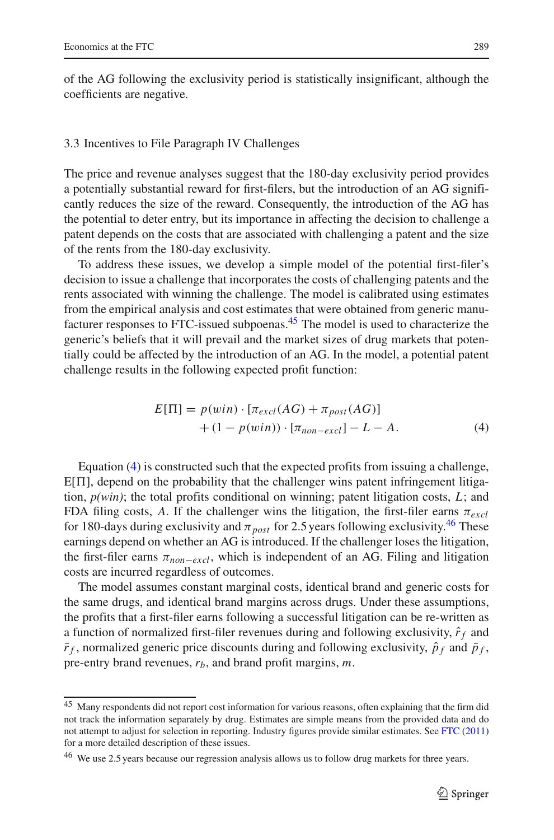of the AG following the exclusivity period is statistically insignificant, although the coefficients are negative.

### 3.3 Incentives to File Paragraph IV Challenges

The price and revenue analyses suggest that the 180-day exclusivity period provides a potentially substantial reward for first-filers, but the introduction of an AG significantly reduces the size of the reward. Consequently, the introduction of the AG has the potential to deter entry, but its importance in affecting the decision to challenge a patent depends on the costs that are associated with challenging a patent and the size of the rents from the 180-day exclusivity.

To address these issues, we develop a simple model of the potential first-filer's decision to issue a challenge that incorporates the costs of challenging patents and the rents associated with winning the challenge. The model is calibrated using estimates from the empirical analysis and cost estimates that were obtained from generic manufacturer responses to FTC-issued subpoenas[.45](#page-18-0) The model is used to characterize the generic's beliefs that it will prevail and the market sizes of drug markets that potentially could be affected by the introduction of an AG. In the model, a potential patent challenge results in the following expected profit function:

$$
E[\Pi] = p(win) \cdot [\pi_{excl}(AG) + \pi_{post}(AG)]
$$
  
+ (1 - p(win)) \cdot [\pi\_{non-excl}] - L - A. (4)

<span id="page-18-1"></span>Equation [\(4\)](#page-18-1) is constructed such that the expected profits from issuing a challenge,  $E[\Pi]$ , depend on the probability that the challenger wins patent infringement litigation, *p(win)*; the total profits conditional on winning; patent litigation costs, *L*; and FDA filing costs, A. If the challenger wins the litigation, the first-filer earns  $\pi_{excl}$ for 180-days during exclusivity and  $\pi_{post}$  for 2.5 years following exclusivity.<sup>46</sup> These earnings depend on whether an AG is introduced. If the challenger loses the litigation, the first-filer earns  $\pi_{non-excl}$ , which is independent of an AG. Filing and litigation costs are incurred regardless of outcomes.

The model assumes constant marginal costs, identical brand and generic costs for the same drugs, and identical brand margins across drugs. Under these assumptions, the profits that a first-filer earns following a successful litigation can be re-written as a function of normalized first-filer revenues during and following exclusivity,  $\hat{r}_f$  and  $\bar{r}_f$ , normalized generic price discounts during and following exclusivity,  $\hat{p}_f$  and  $\bar{p}_f$ , pre-entry brand revenues, *rb*, and brand profit margins, *m*.

<span id="page-18-0"></span><sup>&</sup>lt;sup>45</sup> Many respondents did not report cost information for various reasons, often explaining that the firm did not track the information separately by drug. Estimates are simple means from the provided data and do not attempt to adjust for selection in reporting. Industry figures provide similar estimates. See [FTC](#page-24-1) [\(2011](#page-24-1)) for a more detailed description of these issues.

<span id="page-18-2"></span><sup>&</sup>lt;sup>46</sup> We use 2.5 years because our regression analysis allows us to follow drug markets for three years.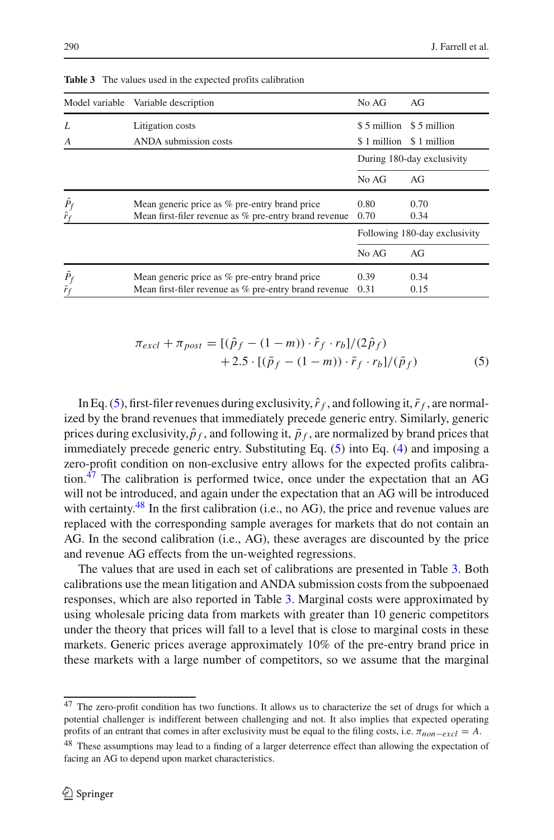<span id="page-19-3"></span>

|                               | Model variable Variable description                   | No AG                         | AG                      |
|-------------------------------|-------------------------------------------------------|-------------------------------|-------------------------|
| L                             | Litigation costs                                      | \$5 million                   | \$ 5 million            |
| A                             | ANDA submission costs                                 |                               | \$1 million \$1 million |
|                               |                                                       | During 180-day exclusivity    |                         |
|                               |                                                       | No AG                         | AG                      |
|                               | Mean generic price as % pre-entry brand price         | 0.80                          | 0.70                    |
| $\frac{\hat{P}_f}{\hat{r}_f}$ | Mean first-filer revenue as % pre-entry brand revenue | 0.70                          | 0.34                    |
|                               |                                                       | Following 180-day exclusivity |                         |
|                               |                                                       | No AG                         | AG                      |
|                               | Mean generic price as % pre-entry brand price         | 0.39                          | 0.34                    |
| $\frac{\bar{P}_f}{\bar{r}_f}$ | Mean first-filer revenue as % pre-entry brand revenue | 0.31                          | 0.15                    |

**Table 3** The values used in the expected profits calibration

$$
\pi_{excl} + \pi_{post} = [(\hat{p}_f - (1 - m)) \cdot \hat{r}_f \cdot r_b]/(2\hat{p}_f) + 2.5 \cdot [(\bar{p}_f - (1 - m)) \cdot \bar{r}_f \cdot r_b]/(\bar{p}_f)
$$
(5)

<span id="page-19-0"></span>In Eq. [\(5\)](#page-19-0), first-filer revenues during exclusivity,  $\hat{r}_f$ , and following it,  $\bar{r}_f$ , are normalized by the brand revenues that immediately precede generic entry. Similarly, generic prices during exclusivity,  $\hat{p}_f$ , and following it,  $\bar{p}_f$ , are normalized by brand prices that immediately precede generic entry. Substituting Eq. [\(5\)](#page-19-0) into Eq. [\(4\)](#page-18-1) and imposing a zero-profit condition on non-exclusive entry allows for the expected profits calibration.[47](#page-19-1) The calibration is performed twice, once under the expectation that an AG will not be introduced, and again under the expectation that an AG will be introduced with certainty.<sup>48</sup> In the first calibration (i.e., no AG), the price and revenue values are replaced with the corresponding sample averages for markets that do not contain an AG. In the second calibration (i.e., AG), these averages are discounted by the price and revenue AG effects from the un-weighted regressions.

The values that are used in each set of calibrations are presented in Table [3.](#page-19-3) Both calibrations use the mean litigation and ANDA submission costs from the subpoenaed responses, which are also reported in Table [3.](#page-19-3) Marginal costs were approximated by using wholesale pricing data from markets with greater than 10 generic competitors under the theory that prices will fall to a level that is close to marginal costs in these markets. Generic prices average approximately 10% of the pre-entry brand price in these markets with a large number of competitors, so we assume that the marginal

<span id="page-19-1"></span><sup>&</sup>lt;sup>47</sup> The zero-profit condition has two functions. It allows us to characterize the set of drugs for which a potential challenger is indifferent between challenging and not. It also implies that expected operating profits of an entrant that comes in after exclusivity must be equal to the filing costs, i.e.  $\pi_{non-excl} = A$ .

<span id="page-19-2"></span><sup>&</sup>lt;sup>48</sup> These assumptions may lead to a finding of a larger deterrence effect than allowing the expectation of facing an AG to depend upon market characteristics.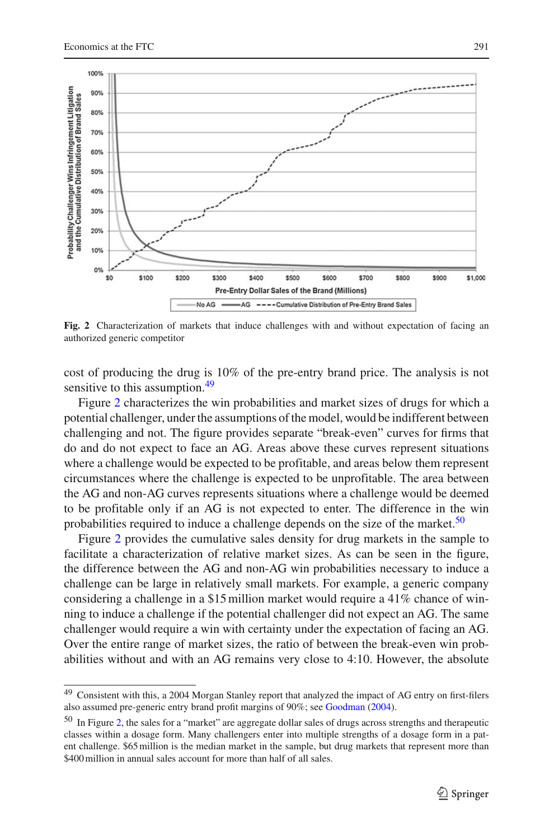

<span id="page-20-1"></span>**Fig. 2** Characterization of markets that induce challenges with and without expectation of facing an authorized generic competitor

cost of producing the drug is 10% of the pre-entry brand price. The analysis is not sensitive to this assumption.<sup>49</sup>

Figure [2](#page-20-1) characterizes the win probabilities and market sizes of drugs for which a potential challenger, under the assumptions of the model, would be indifferent between challenging and not. The figure provides separate "break-even" curves for firms that do and do not expect to face an AG. Areas above these curves represent situations where a challenge would be expected to be profitable, and areas below them represent circumstances where the challenge is expected to be unprofitable. The area between the AG and non-AG curves represents situations where a challenge would be deemed to be profitable only if an AG is not expected to enter. The difference in the win probabilities required to induce a challenge depends on the size of the market.<sup>50</sup>

Figure [2](#page-20-1) provides the cumulative sales density for drug markets in the sample to facilitate a characterization of relative market sizes. As can be seen in the figure, the difference between the AG and non-AG win probabilities necessary to induce a challenge can be large in relatively small markets. For example, a generic company considering a challenge in a \$15 million market would require a 41% chance of winning to induce a challenge if the potential challenger did not expect an AG. The same challenger would require a win with certainty under the expectation of facing an AG. Over the entire range of market sizes, the ratio of between the break-even win probabilities without and with an AG remains very close to 4:10. However, the absolute

<span id="page-20-0"></span><sup>&</sup>lt;sup>49</sup> Consistent with this, a 2004 Morgan Stanley report that analyzed the impact of AG entry on first-filers also assumed pre-generic entry brand profit margins of 90%; see [Goodman](#page-24-17) [\(2004](#page-24-17)).

<span id="page-20-2"></span><sup>50</sup> In Figure [2,](#page-20-1) the sales for a "market" are aggregate dollar sales of drugs across strengths and therapeutic classes within a dosage form. Many challengers enter into multiple strengths of a dosage form in a patent challenge. \$65 million is the median market in the sample, but drug markets that represent more than \$400 million in annual sales account for more than half of all sales.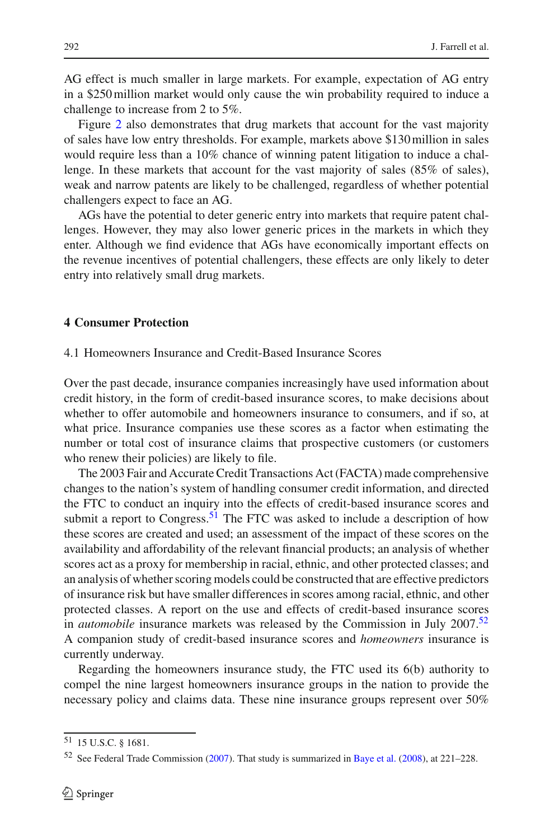AG effect is much smaller in large markets. For example, expectation of AG entry in a \$250 million market would only cause the win probability required to induce a challenge to increase from 2 to 5%.

Figure [2](#page-20-1) also demonstrates that drug markets that account for the vast majority of sales have low entry thresholds. For example, markets above \$130 million in sales would require less than a 10% chance of winning patent litigation to induce a challenge. In these markets that account for the vast majority of sales (85% of sales), weak and narrow patents are likely to be challenged, regardless of whether potential challengers expect to face an AG.

AGs have the potential to deter generic entry into markets that require patent challenges. However, they may also lower generic prices in the markets in which they enter. Although we find evidence that AGs have economically important effects on the revenue incentives of potential challengers, these effects are only likely to deter entry into relatively small drug markets.

### **4 Consumer Protection**

4.1 Homeowners Insurance and Credit-Based Insurance Scores

Over the past decade, insurance companies increasingly have used information about credit history, in the form of credit-based insurance scores, to make decisions about whether to offer automobile and homeowners insurance to consumers, and if so, at what price. Insurance companies use these scores as a factor when estimating the number or total cost of insurance claims that prospective customers (or customers who renew their policies) are likely to file.

The 2003 Fair and Accurate Credit Transactions Act (FACTA) made comprehensive changes to the nation's system of handling consumer credit information, and directed the FTC to conduct an inquiry into the effects of credit-based insurance scores and submit a report to Congress.<sup>51</sup> The FTC was asked to include a description of how these scores are created and used; an assessment of the impact of these scores on the availability and affordability of the relevant financial products; an analysis of whether scores act as a proxy for membership in racial, ethnic, and other protected classes; and an analysis of whether scoring models could be constructed that are effective predictors of insurance risk but have smaller differences in scores among racial, ethnic, and other protected classes. A report on the use and effects of credit-based insurance scores in *automobile* insurance markets was released by the Commission in July 2007.<sup>52</sup> A companion study of credit-based insurance scores and *homeowners* insurance is currently underway.

Regarding the homeowners insurance study, the FTC used its 6(b) authority to compel the nine largest homeowners insurance groups in the nation to provide the necessary policy and claims data. These nine insurance groups represent over 50%

<sup>51</sup> 15 U.S.C. § 1681.

<span id="page-21-1"></span><span id="page-21-0"></span><sup>52</sup> See Federal Trade Commission [\(2007\)](#page-24-18). That study is summarized in [Baye et al.](#page-24-19) [\(2008](#page-24-19)), at 221–228.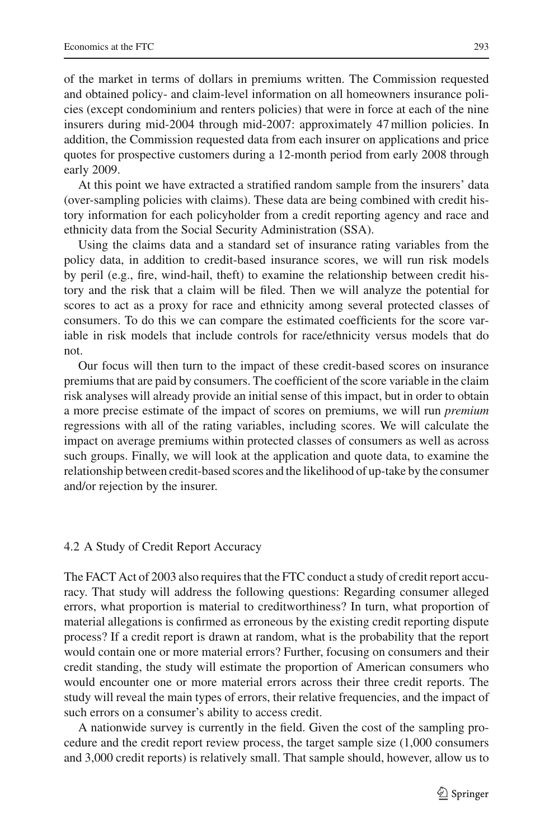of the market in terms of dollars in premiums written. The Commission requested and obtained policy- and claim-level information on all homeowners insurance policies (except condominium and renters policies) that were in force at each of the nine insurers during mid-2004 through mid-2007: approximately 47 million policies. In addition, the Commission requested data from each insurer on applications and price quotes for prospective customers during a 12-month period from early 2008 through early 2009.

At this point we have extracted a stratified random sample from the insurers' data (over-sampling policies with claims). These data are being combined with credit history information for each policyholder from a credit reporting agency and race and ethnicity data from the Social Security Administration (SSA).

Using the claims data and a standard set of insurance rating variables from the policy data, in addition to credit-based insurance scores, we will run risk models by peril (e.g., fire, wind-hail, theft) to examine the relationship between credit history and the risk that a claim will be filed. Then we will analyze the potential for scores to act as a proxy for race and ethnicity among several protected classes of consumers. To do this we can compare the estimated coefficients for the score variable in risk models that include controls for race/ethnicity versus models that do not.

Our focus will then turn to the impact of these credit-based scores on insurance premiums that are paid by consumers. The coefficient of the score variable in the claim risk analyses will already provide an initial sense of this impact, but in order to obtain a more precise estimate of the impact of scores on premiums, we will run *premium* regressions with all of the rating variables, including scores. We will calculate the impact on average premiums within protected classes of consumers as well as across such groups. Finally, we will look at the application and quote data, to examine the relationship between credit-based scores and the likelihood of up-take by the consumer and/or rejection by the insurer.

### 4.2 A Study of Credit Report Accuracy

The FACT Act of 2003 also requires that the FTC conduct a study of credit report accuracy. That study will address the following questions: Regarding consumer alleged errors, what proportion is material to creditworthiness? In turn, what proportion of material allegations is confirmed as erroneous by the existing credit reporting dispute process? If a credit report is drawn at random, what is the probability that the report would contain one or more material errors? Further, focusing on consumers and their credit standing, the study will estimate the proportion of American consumers who would encounter one or more material errors across their three credit reports. The study will reveal the main types of errors, their relative frequencies, and the impact of such errors on a consumer's ability to access credit.

A nationwide survey is currently in the field. Given the cost of the sampling procedure and the credit report review process, the target sample size (1,000 consumers and 3,000 credit reports) is relatively small. That sample should, however, allow us to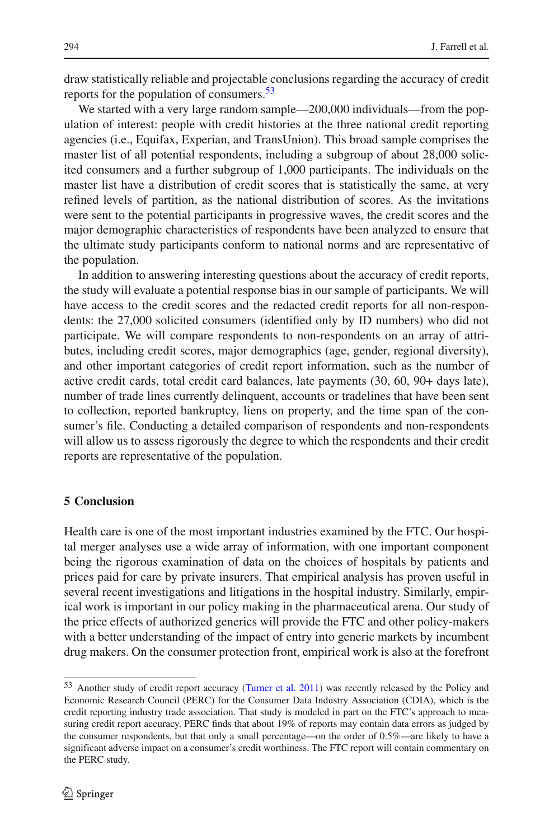draw statistically reliable and projectable conclusions regarding the accuracy of credit reports for the population of consumers. $53$ 

We started with a very large random sample—200,000 individuals—from the population of interest: people with credit histories at the three national credit reporting agencies (i.e., Equifax, Experian, and TransUnion). This broad sample comprises the master list of all potential respondents, including a subgroup of about 28,000 solicited consumers and a further subgroup of 1,000 participants. The individuals on the master list have a distribution of credit scores that is statistically the same, at very refined levels of partition, as the national distribution of scores. As the invitations were sent to the potential participants in progressive waves, the credit scores and the major demographic characteristics of respondents have been analyzed to ensure that the ultimate study participants conform to national norms and are representative of the population.

In addition to answering interesting questions about the accuracy of credit reports, the study will evaluate a potential response bias in our sample of participants. We will have access to the credit scores and the redacted credit reports for all non-respondents: the 27,000 solicited consumers (identified only by ID numbers) who did not participate. We will compare respondents to non-respondents on an array of attributes, including credit scores, major demographics (age, gender, regional diversity), and other important categories of credit report information, such as the number of active credit cards, total credit card balances, late payments (30, 60, 90+ days late), number of trade lines currently delinquent, accounts or tradelines that have been sent to collection, reported bankruptcy, liens on property, and the time span of the consumer's file. Conducting a detailed comparison of respondents and non-respondents will allow us to assess rigorously the degree to which the respondents and their credit reports are representative of the population.

### **5 Conclusion**

Health care is one of the most important industries examined by the FTC. Our hospital merger analyses use a wide array of information, with one important component being the rigorous examination of data on the choices of hospitals by patients and prices paid for care by private insurers. That empirical analysis has proven useful in several recent investigations and litigations in the hospital industry. Similarly, empirical work is important in our policy making in the pharmaceutical arena. Our study of the price effects of authorized generics will provide the FTC and other policy-makers with a better understanding of the impact of entry into generic markets by incumbent drug makers. On the consumer protection front, empirical work is also at the forefront

<span id="page-23-0"></span><sup>53</sup> Another study of credit report accuracy [\(Turner et al. 2011\)](#page-25-1) was recently released by the Policy and Economic Research Council (PERC) for the Consumer Data Industry Association (CDIA), which is the credit reporting industry trade association. That study is modeled in part on the FTC's approach to measuring credit report accuracy. PERC finds that about 19% of reports may contain data errors as judged by the consumer respondents, but that only a small percentage—on the order of 0.5%—are likely to have a significant adverse impact on a consumer's credit worthiness. The FTC report will contain commentary on the PERC study.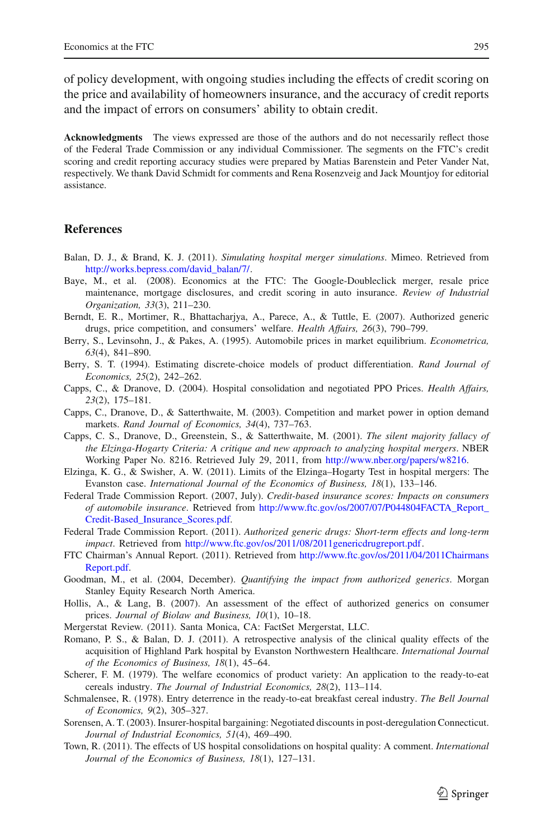of policy development, with ongoing studies including the effects of credit scoring on the price and availability of homeowners insurance, and the accuracy of credit reports and the impact of errors on consumers' ability to obtain credit.

**Acknowledgments** The views expressed are those of the authors and do not necessarily reflect those of the Federal Trade Commission or any individual Commissioner. The segments on the FTC's credit scoring and credit reporting accuracy studies were prepared by Matias Barenstein and Peter Vander Nat, respectively. We thank David Schmidt for comments and Rena Rosenzveig and Jack Mountjoy for editorial assistance.

### **References**

- <span id="page-24-9"></span>Balan, D. J., & Brand, K. J. (2011). *Simulating hospital merger simulations*. Mimeo. Retrieved from [http://works.bepress.com/david\\_balan/7/.](http://works.bepress.com/david_balan/7/)
- <span id="page-24-19"></span>Baye, M., et al. (2008). Economics at the FTC: The Google-Doubleclick merger, resale price maintenance, mortgage disclosures, and credit scoring in auto insurance. *Review of Industrial Organization, 33*(3), 211–230.
- <span id="page-24-12"></span>Berndt, E. R., Mortimer, R., Bhattacharjya, A., Parece, A., & Tuttle, E. (2007). Authorized generic drugs, price competition, and consumers' welfare. *Health Affairs, 26*(3), 790–799.
- <span id="page-24-7"></span>Berry, S., Levinsohn, J., & Pakes, A. (1995). Automobile prices in market equilibrium. *Econometrica, 63*(4), 841–890.
- <span id="page-24-6"></span>Berry, S. T. (1994). Estimating discrete-choice models of product differentiation. *Rand Journal of Economics, 25*(2), 242–262.
- <span id="page-24-10"></span>Capps, C., & Dranove, D. (2004). Hospital consolidation and negotiated PPO Prices. *Health Affairs, 23*(2), 175–181.
- <span id="page-24-8"></span>Capps, C., Dranove, D., & Satterthwaite, M. (2003). Competition and market power in option demand markets. *Rand Journal of Economics, 34*(4), 737–763.
- <span id="page-24-4"></span>Capps, C. S., Dranove, D., Greenstein, S., & Satterthwaite, M. (2001). *The silent majority fallacy of the Elzinga-Hogarty Criteria: A critique and new approach to analyzing hospital mergers*. NBER Working Paper No. 8216. Retrieved July 29, 2011, from [http://www.nber.org/papers/w8216.](http://www.nber.org/papers/w8216)
- <span id="page-24-5"></span>Elzinga, K. G., & Swisher, A. W. (2011). Limits of the Elzinga–Hogarty Test in hospital mergers: The Evanston case. *International Journal of the Economics of Business, 18*(1), 133–146.
- <span id="page-24-18"></span>Federal Trade Commission Report. (2007, July). *Credit-based insurance scores: Impacts on consumers of automobile insurance*. Retrieved from [http://www.ftc.gov/os/2007/07/P044804FACTA\\_Report\\_](http://www.ftc.gov/os/2007/07/P044804FACTA_Report_Credit-Based_Insurance_Scores.pdf) [Credit-Based\\_Insurance\\_Scores.pdf.](http://www.ftc.gov/os/2007/07/P044804FACTA_Report_Credit-Based_Insurance_Scores.pdf)
- <span id="page-24-14"></span>Federal Trade Commission Report. (2011). *Authorized generic drugs: Short-term effects and long-term impact*. Retrieved from [http://www.ftc.gov/os/2011/08/2011genericdrugreport.pdf.](http://www.ftc.gov/os/2011/08/2011genericdrugreport.pdf)
- <span id="page-24-1"></span>FTC Chairman's Annual Report. (2011). Retrieved from [http://www.ftc.gov/os/2011/04/2011Chairmans](http://www.ftc.gov/os/2011/04/2011ChairmansReport.pdf) [Report.pdf.](http://www.ftc.gov/os/2011/04/2011ChairmansReport.pdf)
- <span id="page-24-17"></span>Goodman, M., et al. (2004, December). *Quantifying the impact from authorized generics*. Morgan Stanley Equity Research North America.
- <span id="page-24-13"></span>Hollis, A., & Lang, B. (2007). An assessment of the effect of authorized generics on consumer prices. *Journal of Biolaw and Business, 10*(1), 10–18.
- <span id="page-24-0"></span>Mergerstat Review. (2011). Santa Monica, CA: FactSet Mergerstat, LLC.
- <span id="page-24-3"></span>Romano, P. S., & Balan, D. J. (2011). A retrospective analysis of the clinical quality effects of the acquisition of Highland Park hospital by Evanston Northwestern Healthcare. *International Journal of the Economics of Business, 18*(1), 45–64.
- <span id="page-24-15"></span>Scherer, F. M. (1979). The welfare economics of product variety: An application to the ready-to-eat cereals industry. *The Journal of Industrial Economics, 28*(2), 113–114.
- <span id="page-24-16"></span>Schmalensee, R. (1978). Entry deterrence in the ready-to-eat breakfast cereal industry. *The Bell Journal of Economics, 9*(2), 305–327.
- <span id="page-24-11"></span>Sorensen, A. T. (2003). Insurer-hospital bargaining: Negotiated discounts in post-deregulation Connecticut. *Journal of Industrial Economics, 51*(4), 469–490.
- <span id="page-24-2"></span>Town, R. (2011). The effects of US hospital consolidations on hospital quality: A comment. *International Journal of the Economics of Business, 18*(1), 127–131.